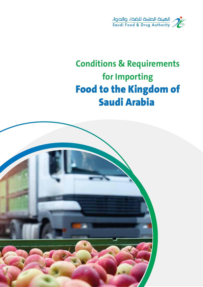

# **Conditions & Requirements for Importing** Food to the Kingdom of Saudi Arabia

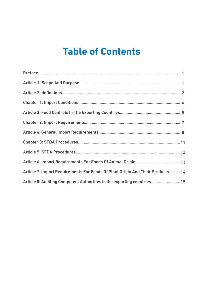# **Table of Contents**

| Article 7: Import Requirements For Foods Of Plant Origin And Their Products 14 |  |
|--------------------------------------------------------------------------------|--|
| Article 8: Auditing Competent Authorities in the exporting countries 15        |  |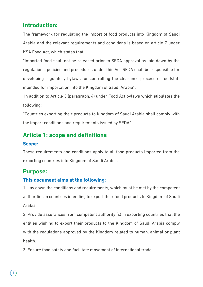### **Introduction:**

The framework for regulating the import of food products into Kingdom of Saudi Arabia and the relevant requirements and conditions is based on article 7 under KSA Food Act, which states that:

"Imported food shall not be released prior to SFDA approval as laid down by the regulations, policies and procedures under this Act. SFDA shall be responsible for developing regulatory bylaws for controlling the clearance process of foodstuff intended for importation into the Kingdom of Saudi Arabia".

 In addition to Article 3 (paragraph. 4) under Food Act bylaws which stipulates the following:

"Countries exporting their products to Kingdom of Saudi Arabia shall comply with the import conditions and requirements issued by SFDA".

## **Article 1: scope and definitions**

#### **Scope:**

These requirements and conditions apply to all food products imported from the exporting countries into Kingdom of Saudi Arabia.

### **Purpose:**

#### **This document aims at the following:**

1. Lay down the conditions and requirements, which must be met by the competent authorities in countries intending to export their food products to Kingdom of Saudi Arabia.

2. Provide assurances from competent authority (s) in exporting countries that the entities wishing to export their products to the Kingdom of Saudi Arabia comply with the regulations approved by the Kingdom related to human, animal or plant health.

3. Ensure food safety and facilitate movement of international trade.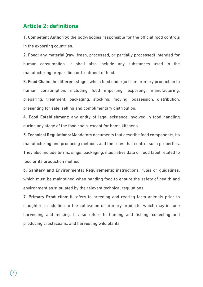#### **Article 2: definitions**

1. Competent Authority: the body/bodies responsible for the official food controls in the exporting countries.

2. Food: any material (raw, fresh, processed, or partially processed) intended for human consumption. It shall also include any substances used in the manufacturing preparation or treatment of food.

3. Food Chain: the different stages which food undergo from primary production to human consumption, including food importing, exporting, manufacturing, preparing, treatment, packaging, stocking, moving, possession, distribution, presenting for sale, selling and complimentary distribution.

4. Food Establishment: any entity of legal existence involved in food handling during any stage of the food chain, except for home kitchens.

5. Technical Regulations: Mandatory documents that describe food components, its manufacturing and producing methods and the rules that control such properties. They also include terms, sings, packaging, illustrative data or food label related to food or its production method.

6. Sanitary and Environmental Requirements: instructions, rules or guidelines, which must be maintained when handing food to ensure the safety of health and environment as stipulated by the relevant technical regulations.

7. Primary Production: it refers to breeding and rearing farm animals prior to slaughter, in addition to the cultivation of primary products, which may include harvesting and milking. It also refers to hunting and fishing, collecting and producing crustaceans, and harvesting wild plants.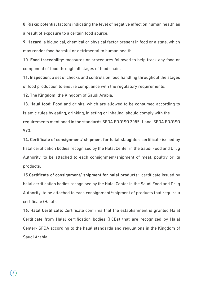8. Risks: potential factors indicating the level of negative effect on human health as a result of exposure to a certain food source.

9. Hazard: a biological, chemical or physical factor present in food or a state, which may render food harmful or detrimental to human health.

10. Food traceability: measures or procedures followed to help track any food or component of food through all stages of food chain.

11. Inspection: a set of checks and controls on food handling throughout the stages of food production to ensure compliance with the regulatory requirements.

12. The Kingdom: the Kingdom of Saudi Arabia.

13. Halal food: Food and drinks, which are allowed to be consumed according to Islamic rules by eating, drinking, injecting or inhaling, should comply with the requirements mentioned in the standards SFDA.FD/GSO 2055-1 and SFDA.FD/GSO 993.

14. Certificate of consignment/ shipment for halal slaughter: certificate issued by halal certification bodies recognised by the Halal Center in the Saudi Food and Drug Authority, to be attached to each consignment/shipment of meat, poultry or its products.

15.Certificate of consignment/ shipment for halal products: certificate issued by halal certification bodies recognised by the Halal Center in the Saudi Food and Drug Authority, to be attached to each consignment/shipment of products that require a certificate (Halal).

16. Halal Certificate: Certificate confirms that the establishment is granted Halal Certificate from Halal certification bodies (HCBs) that are recognized by Halal Center- SFDA according to the halal standards and regulations in the Kingdom of Saudi Arabia.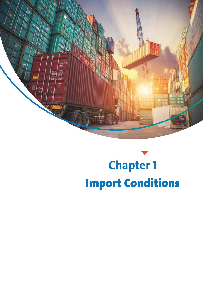

# **Chapter 1** Import Conditions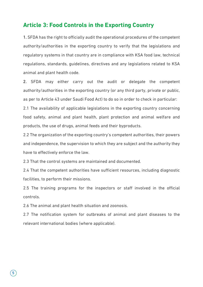#### **Article 3: Food Controls in the Exporting Country**

1. SFDA has the right to officially audit the operational procedures of the competent authority/authorities in the exporting country to verify that the legislations and regulatory systems in that country are in compliance with KSA food law, technical regulations, standards, guidelines, directives and any legislations related to KSA animal and plant health code.

2. SFDA may either carry out the audit or delegate the competent authority/authorities in the exporting country (or any third party, private or public, as per to Article 43 under Saudi Food Act) to do so in order to check in particular:

2.1 The availability of applicable legislations in the exporting country concerning food safety, animal and plant health, plant protection and animal welfare and products, the use of drugs, animal feeds and their byproducts.

2.2 The organization of the exporting country's competent authorities, their powers and independence, the supervision to which they are subject and the authority they have to effectively enforce the law.

2.3 That the control systems are maintained and documented.

2.4 That the competent authorities have sufficient resources, including diagnostic facilities, to perform their missions.

2.5 The training programs for the inspectors or staff involved in the official controls.

2.6 The animal and plant health situation and zoonosis.

2.7 The notification system for outbreaks of animal and plant diseases to the relevant international bodies (where applicable).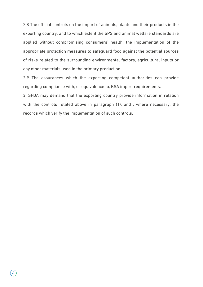2.8 The official controls on the import of animals, plants and their products in the exporting country, and to which extent the SPS and animal welfare standards are applied without compromising consumers' health, the implementation of the appropriate protection measures to safeguard food against the potential sources of risks related to the surrounding environmental factors, agricultural inputs or any other materials used in the primary production.

2.9 The assurances which the exporting competent authorities can provide regarding compliance with, or equivalence to, KSA import requirements.

3. SFDA may demand that the exporting country provide information in relation with the controls stated above in paragraph (1), and , where necessary, the records which verify the implementation of such controls.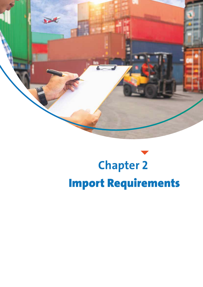

# **Chapter 2** Import Requirements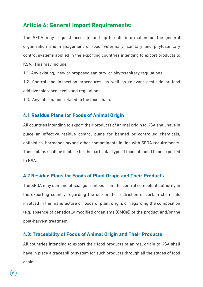### **Article 4: General Import Requirements:**

The SFDA may request accurate and up-to-date information on the general organization and management of food, veterinary, sanitary and phytosanitary control systems applied in the exporting countries intending to export products to KSA. This may include:

1.1. Any existing, new or proposed sanitary or phytosanitary regulations.

1.2. Control and inspection procedures, as well as relevant pesticide or food additive tolerance levels and regulations.

1.3. Any information related to the food chain.

#### **4.1 Residue Plans for Foods of Animal Origin**

All countries intending to export their products of animal origin to KSA shall have in place an effective residue control plans for banned or controlled chemicals, antibiotics, hormones or/and other contaminants in line with SFDA requirements. These plans shall be in place for the particular type of food intended to be exported to KSA.

#### **4.2 Residue Plans for Foods of Plant Origin and Their Products**

The SFDA may demand official guarantees from the central competent authority in the exporting country regarding the use or the restriction of certain chemicals involved in the manufacture of foods of plant origin, or regarding the composition (e.g. absence of genetically modified organisms (GMOs)) of the product and/or the post-harvest treatment.

#### **4.3: Traceability of Foods of Animal Origin and Their Products**

All countries intending to export their food products of animal origin to KSA shall have in place a traceability system for such products through all the stages of food chain.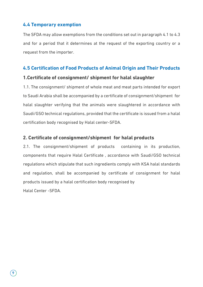#### **4.4 Temporary exemption**

The SFDA may allow exemptions from the conditions set out in paragraph 4.1 to 4.3 and for a period that it determines at the request of the exporting country or a request from the importer.

#### **4.5 Certification of Food Products of Animal Origin and Their Products**

#### **1.Certificate of consignment/ shipment for halal slaughter**

1.1. The consignment/ shipment of whole meat and meat parts intended for export to Saudi Arabia shall be accompanied by a certificate of consignment/shipment for halal slaughter verifying that the animals were slaughtered in accordance with Saudi/GSO technical regulations, provided that the certificate is issued from a halal certification body recognised by Halal center-SFDA.

#### **2. Certificate of consignment/shipment for halal products**

2.1. The consignment/shipment of products containing in its production, components that require Halal Certificate , accordance with Saudi/GSO technical regulations which stipulate that such ingredients comply with KSA halal standards and regulation, shall be accompanied by certificate of consignment for halal products issued by a halal certification body recognised by

Halal Center -SFDA.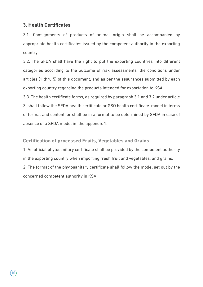#### **3. Health Certificates**

3.1. Consignments of products of animal origin shall be accompanied by appropriate health certificates issued by the competent authority in the exporting country.

3.2. The SFDA shall have the right to put the exporting countries into different categories according to the outcome of risk assessments, the conditions under articles (1 thru 5) of this document, and as per the assurances submitted by each exporting country regarding the products intended for exportation to KSA.

3.3. The health certificate forms, as required by paragraph 3.1 and 3.2 under article 3, shall follow the SFDA health certificate or GSO health certificate model in terms of format and content, or shall be in a format to be determined by SFDA in case of absence of a SFDA model in the appendix 1.

**Certification of processed Fruits, Vegetables and Grains**

1. An official phytosanitary certificate shall be provided by the competent authority in the exporting country when importing fresh fruit and vegetables, and grains. 2. The format of the phytosanitary certificate shall follow the model set out by the concerned competent authority in KSA.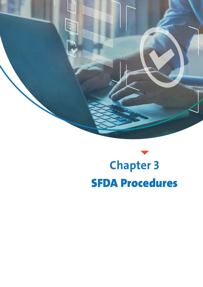

# **Chapter 3** SFDA Procedures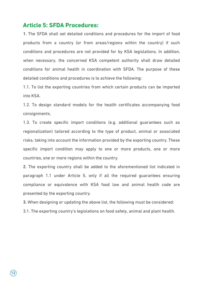#### **Article 5: SFDA Procedures:**

1. The SFDA shall set detailed conditions and procedures for the import of food products from a country (or from areas/regions within the country) if such conditions and procedures are not provided for by KSA legislations. In addition, when necessary, the concerned KSA competent authority shall draw detailed conditions for animal health in coordination with SFDA. The purpose of these detailed conditions and procedures is to achieve the following:

1.1. To list the exporting countries from which certain products can be imported into KSA.

1.2. To design standard models for the health certificates accompanying food consignments.

1.3. To create specific import conditions (e.g. additional guarantees such as regionalization) tailored according to the type of product, animal or associated risks, taking into account the information provided by the exporting country. These specific import condition may apply to one or more products, one or more countries, one or more regions within the country.

2. The exporting country shall be added to the aforementioned list indicated in paragraph 1.1 under Article 5, only if all the required guarantees ensuring compliance or equivalence with KSA food law and animal health code are presented by the exporting country.

3. When designing or updating the above list, the following must be considered:

3.1. The exporting country's legislations on food safety, animal and plant health.

 $(12)$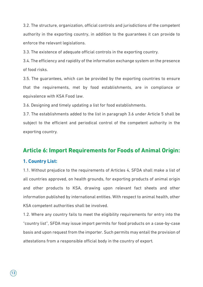3.2. The structure, organization, official controls and jurisdictions of the competent authority in the exporting country, in addition to the guarantees it can provide to enforce the relevant legislations.

3.3. The existence of adequate official controls in the exporting country.

3.4. The efficiency and rapidity of the information exchange system on the presence of food risks.

3.5. The guarantees, which can be provided by the exporting countries to ensure that the requirements, met by food establishments, are in compliance or equivalence with KSA Food law.

3.6. Designing and timely updating a list for food establishments.

3.7. The establishments added to the list in paragraph 3.6 under Article 5 shall be subject to the efficient and periodical control of the competent authority in the exporting country.

### **Article 6: Import Requirements for Foods of Animal Origin:**

#### **1. Country List:**

1.1. Without prejudice to the requirements of Articles 4, SFDA shall make a list of all countries approved, on health grounds, for exporting products of animal origin and other products to KSA, drawing upon relevant fact sheets and other information published by international entities. With respect to animal health, other KSA competent authorities shall be involved.

1.2. Where any country fails to meet the eligibility requirements for entry into the "country list", SFDA may issue import permits for food products on a case-by-case basis and upon request from the importer. Such permits may entail the provision of attestations from a responsible official body in the country of export.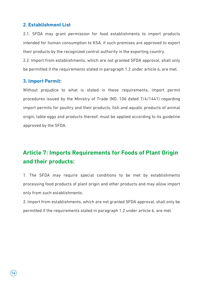#### **2. Establishment List**

2.1. SFDA may grant permission for food establishments to import products intended for human consumption to KSA, if such premises are approved to export their products by the recognized control authority in the exporting country. 2.2. Import from establishments, which are not granted SFDA approval, shall only be permitted if the requirements stated in paragraph 1.2 under article 6, are met.

#### **3. Import Permit:**

Without prejudice to what is stated in these requirements, import permit procedures issued by the Ministry of Trade (NO. 106 dated 7/4/1441) regarding import permits for poultry and their products, fish and aquatic products of animal origin, table eggs and products thereof, must be applied according to its guideline approved by the SFDA.

# **Article 7: Imports Requirements for Foods of Plant Origin and their products:**

1. The SFDA may require special conditions to be met by establishments processing food products of plant origin and other products and may allow import only from such establishments.

2. Import from establishments, which are not granted SFDA approval, shall only be permitted if the requirements stated in paragraph 1.2 under article 6, are met.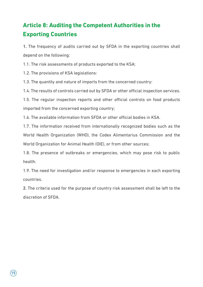# **Article 8: Auditing the Competent Authorities in the Exporting Countries**

1. The frequency of audits carried out by SFDA in the exporting countries shall depend on the following:

1.1. The risk assessments of products exported to the KSA;

1.2. The provisions of KSA legislations:

1.3. The quantity and nature of imports from the concerned country:

1.4. The results of controls carried out by SFDA or other official inspection services.

1.5. The regular inspection reports and other official controls on food products imported from the concerned exporting country;

1.6. The available information from SFDA or other official bodies in KSA.

1.7. The information received from internationally recognized bodies such as the World Health Organization (WHO), the Codex Alimentarius Commission and the World Organization for Animal Health (OIE), or from other sources;

1.8. The presence of outbreaks or emergencies, which may pose risk to public health.

1.9. The need for investigation and/or response to emergencies in each exporting countries.

2. The criteria used for the purpose of country risk assessment shall be left to the discretion of SFDA.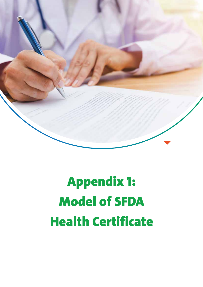

# Appendix 1: Model of SFDA Health Certificate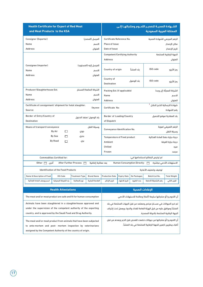| <b>Health Certificate for Export of Red Meat</b><br>and Meat Products to the KSA |                                                                   |                                 |                                                        | الشــهادة الصحيــة لتصديــر اللحــوم ومنتجاتهــا إلــى<br>المملكة العربية السعودية |                                 |                                                                        |                          |  |  |
|----------------------------------------------------------------------------------|-------------------------------------------------------------------|---------------------------------|--------------------------------------------------------|------------------------------------------------------------------------------------|---------------------------------|------------------------------------------------------------------------|--------------------------|--|--|
| Consignor (Exporter)                                                             | المرسل (المصدر)                                                   |                                 |                                                        |                                                                                    |                                 | Certificate Reference No.<br>الرقم المرجعى للشهادة الصحية              |                          |  |  |
| Name                                                                             |                                                                   | الاسم                           | Place of Issue                                         |                                                                                    |                                 |                                                                        | مكان الإصدار             |  |  |
| <b>Address</b>                                                                   |                                                                   | العنوان                         |                                                        | Date of Issue<br>تاريخ الإصدار                                                     |                                 |                                                                        |                          |  |  |
|                                                                                  |                                                                   |                                 | <b>Competent/Certifying Authority</b>                  |                                                                                    |                                 |                                                                        | الجهة الرقابية المختصة   |  |  |
|                                                                                  |                                                                   |                                 | <b>Address</b>                                         |                                                                                    |                                 |                                                                        | العنوان                  |  |  |
| Consignee (importer)                                                             |                                                                   |                                 |                                                        |                                                                                    |                                 |                                                                        |                          |  |  |
| Name                                                                             |                                                                   | المرسل إليه (المستورد)<br>الاسم | Country of origin                                      |                                                                                    | ىلد المنشأ                      | ISO code                                                               | رمز الأيزو               |  |  |
| <b>Address</b>                                                                   |                                                                   | العنوان                         |                                                        |                                                                                    |                                 |                                                                        |                          |  |  |
|                                                                                  |                                                                   |                                 | Country of                                             |                                                                                    |                                 |                                                                        |                          |  |  |
|                                                                                  |                                                                   |                                 | <b>Destination</b>                                     |                                                                                    | بلد الوصول                      | ISO code                                                               | رمز الأيزو               |  |  |
| Producer/Slaughterhouse Est.                                                     |                                                                   | الشركة الصانعة/المسلخ           | Packing Est. (if applicable)                           |                                                                                    |                                 |                                                                        | الشركة المعبأة (إن وجد)  |  |  |
| Name                                                                             |                                                                   | الاسم                           | Name                                                   |                                                                                    |                                 |                                                                        | الاسم                    |  |  |
| <b>Address</b>                                                                   |                                                                   | العنوان                         | <b>Address</b>                                         |                                                                                    |                                 |                                                                        | العنوان                  |  |  |
| Certificate of consignment/ shipment for halal slaughter.                        |                                                                   |                                 | Certificate No:                                        |                                                                                    |                                 | شهادة الارسالية للذبح الحلال <sup>1</sup>                              |                          |  |  |
| Source:                                                                          | مصدرها:                                                           |                                 |                                                        |                                                                                    |                                 |                                                                        | رقم الشهادة              |  |  |
| Border of Entry/Country of<br>بلد الوصول /منفذ الدخول                            |                                                                   |                                 | Border of Loading/Country<br>بلد المغادرة/موقع التحميل |                                                                                    |                                 |                                                                        |                          |  |  |
| <b>Destination</b>                                                               | of Dispatch                                                       |                                 |                                                        |                                                                                    |                                 |                                                                        |                          |  |  |
| Means of transport/conveyance                                                    |                                                                   | وسيلة النقل                     | الرقم التعريفي/هوية<br>Conveyance Identification No.   |                                                                                    |                                 |                                                                        |                          |  |  |
| By Air                                                                           | □<br>جوي                                                          |                                 |                                                        |                                                                                    |                                 |                                                                        | وسيلة النقل              |  |  |
| By Sea                                                                           | □<br>بحرى                                                         |                                 | <b>Temperature of Food product</b>                     |                                                                                    |                                 | درجة حرارة حفظ المادة الغذائية                                         |                          |  |  |
| <b>By Road</b>                                                                   | П<br>بري                                                          |                                 | Ambient                                                |                                                                                    |                                 |                                                                        | درجة حرارة الغرفة        |  |  |
|                                                                                  |                                                                   |                                 | Chilled                                                |                                                                                    |                                 |                                                                        | مبرد                     |  |  |
|                                                                                  |                                                                   |                                 | Frozen                                                 |                                                                                    |                                 |                                                                        | مجمد                     |  |  |
| <b>Commodities Certified for:</b>                                                |                                                                   |                                 |                                                        |                                                                                    |                                 | تم ترخيص البضائع لاستخدامها في:                                        |                          |  |  |
| آخری   ⊟ Other                                                                   | After Further Process $\Box$                                      | بعد معالجة إضافية               |                                                        |                                                                                    | Human Consumption Directly: [ ] |                                                                        | الاستهلاك الآدمى مباشرة: |  |  |
| <b>Identification of the Food Products</b>                                       |                                                                   |                                 |                                                        |                                                                                    |                                 | توصيف وتصنيف الأغذية                                                   |                          |  |  |
| Name & Description of Food<br><b>HS-Code</b>                                     | <b>Treatment Type</b>                                             | <b>Brand Name</b>               | <b>Production Date</b>                                 | <b>Expiry Date</b>                                                                 | No Packages                     | Batch/Lot No.                                                          | <b>Total Weight</b>      |  |  |
| اسم ووصف المادة الغذائية<br>بند التعرفة الجمركية                                 | نوع المعالجة                                                      | العلامة التجارية                | تاريخ الإنتاج                                          | تاريخ الانتهاء                                                                     | عدد الطرود                      | رقم التشغيلة/الدفعة                                                    | الوزن الكلى              |  |  |
| <b>Health Attestations</b>                                                       |                                                                   |                                 |                                                        |                                                                                    | الإفادات الصحية                 |                                                                        |                          |  |  |
|                                                                                  |                                                                   |                                 |                                                        |                                                                                    |                                 |                                                                        |                          |  |  |
| The meat and/or meat product are safe and fit for human consumption              |                                                                   |                                 |                                                        |                                                                                    |                                 | أن اللحوم و/أو منتجاتها سليمة (آمنة) وصالحة للاستهلاك الآدمى           |                          |  |  |
| Animals have been slaughtered in a slaughterhouse approved and                   |                                                                   |                                 |                                                        |                                                                                    |                                 | تم ذبح الحيوانات في مســلخ مرخص ومعتمد من قبل الجهات المختصة في بلد    |                          |  |  |
|                                                                                  | under the supervision of the competent authority of the exporting |                                 |                                                        |                                                                                    |                                 | المنشأ وموافق عليه من قبل الهيئة العامة للغذاء والدواء ويعمل تحت إشراف |                          |  |  |
| country, and is approved by the Saudi Food and Drug Authority.                   |                                                                   |                                 |                                                        |                                                                                    |                                 | الجهة الرقابية المختصة بالدولة المصدرة.                                |                          |  |  |
| The meat and/or meat product from animals that have been subjected               |                                                                   |                                 |                                                        |                                                                                    |                                 | أن اللحوم و/أو منتجاتها من حيوانات خضعت للفحص قبل الذبح وبعده من قبل   |                          |  |  |
| to ante-mortem and post- mortem inspection by veterinarians                      |                                                                   |                                 |                                                        |                                                                                    |                                 | أطباء بيطريين تابعين للجهة الرقابية المختصة في بلد المنشأ.             |                          |  |  |
| assigned by the Competent Authority of the country of origin.                    |                                                                   |                                 |                                                        |                                                                                    |                                 |                                                                        |                          |  |  |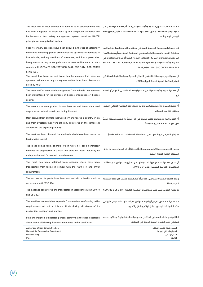| The meat and/or meat product was handled at an establishment that<br>has been subjected to inspections by the competent authority and<br>implements a food safety management system based on HACCP<br>principles or an equivalent system.                                                                                                                                   | تـم إجـراء عمليـات تداول اللحـوم و/أو منتجاتها فى منشـأھ خاضعـة للرقابة من قبل<br>الجهة الرقابية المختصة، وتطبق نظام إدارة ســلامة الغذاء اســتناداً إلى مبادئ نظام<br>الهاسب أو ما يماثله.                                                                                                                                                                                            |
|-----------------------------------------------------------------------------------------------------------------------------------------------------------------------------------------------------------------------------------------------------------------------------------------------------------------------------------------------------------------------------|----------------------------------------------------------------------------------------------------------------------------------------------------------------------------------------------------------------------------------------------------------------------------------------------------------------------------------------------------------------------------------------|
| Good veterinary practices have been applied in the use of veterinary<br>medicines (including growth promoters) and agriculture chemicals in<br>live animals, and any residues of hormones, antibiotics, pesticides,<br>heavy metals or any other pollutants in meat and/or meat product<br>comply with (SFDA.FD 382/2019,GSO 2481, GSO 1016, GSO CODEX<br><b>STAN 193).</b> | تـم تطبيــق الممارسـات البيطريــة الجيدة فى اســتخدام الأدويــة البيطريــة (بما فيها<br>محفـزات النمـو) والكيماويـات الزراعيــة فــى الحيوانــات الحيــة, وأن أي متبقيــات من<br>الهرمونــات، المضادات الحيويــة، المبيدات، المعادن الثقيلة أو غيرها من الملوثات في<br>اللحـوم و/أو منتجاتها متوافقة مع المتطلبات الخليجية SFDA.FD 382/2019, GSO<br>2481, GSO 1016, GSO CODEX STAN 193 |
| The meat has been derived from healthy animals that have no<br>apparent evidence of any contagious and/or infectious disease as<br>listed by (OIE).                                                                                                                                                                                                                         | أن مصدر اللحوم هو حيوانات خالية من الأمراض المعدية و/أو الوبائية والمتضمنة في<br>قوائم المنظمة الدولية للصحة الحيوانية (OIE).                                                                                                                                                                                                                                                          |
| The meat and/or meat product originates from animals that have not<br>been slaughtered for the purpose of disease eradication or disease<br>control.                                                                                                                                                                                                                        | أن مصـدر اللحـوم و/أو منتجاتها لــم يتم ذبحها بقصد القضاء علــى الأمراض أو التحكم<br>فيها.                                                                                                                                                                                                                                                                                             |
| The meat and/or meat product has not been derived from animals fed<br>on processed animal protein, excluding fishmeal.                                                                                                                                                                                                                                                      | أن مصـدر اللحـوم و/أو منتجاتهـا حيوانات لم يتم تغذيتها بالبروتيــن الحيوانى المصَنع،<br>باستثناء تلك من الأسماك.                                                                                                                                                                                                                                                                       |
| Meat derived from animals that were born and reared in country origin<br>and from livestock that were officially registered at the competent<br>authority of the exporting country.                                                                                                                                                                                         | أن اللحوم ناتجة من حيوانات ولدت ونشأت في بلد المنشأ من قطعان مسجلة رسمياً<br>لدى الجهات المختصة في بلد المنشأ.                                                                                                                                                                                                                                                                         |
| The meat has been obtained from animals which have been reared in<br>territory/ies [name]                                                                                                                                                                                                                                                                                   | تم إنتاج اللحم من حيوانات تربت في المقاطعة/ المقاطعات [ اسم المقاطعة ]                                                                                                                                                                                                                                                                                                                 |
| The meat comes from animals which were not bred genetically<br>modified or engineered in a way that does not occur naturally by<br>multiplication and /or natural recombination.                                                                                                                                                                                            | مصـدر اللحــوم من حيوانات غير محورھ وراثيــآ (معدلة( أو  تم الحصول عليها عن طريق<br>استخدام التقنية الحيوية الحديثة.                                                                                                                                                                                                                                                                   |
| The meat has been obtained from animals which have been<br>transported from farms in comply with the (GSO 714 and 1400)<br>requirements                                                                                                                                                                                                                                     | أن يكــون مصــدر اللحــم من حيوانــات تم نقلها مــن المزارع بمــا يتوافق مــع متطلبات<br>المواصفات القياسية الخليجية رقم 714 و 1400.                                                                                                                                                                                                                                                   |
| The carcass or its parts have been marked with a health mark in<br>accordance with [GSO 996].                                                                                                                                                                                                                                                                               | وجود العلامة الصحية (الختم) على الذبائح أو أجزاء الذبائح حسـب المواصفة القياسية<br>الخليجية 996                                                                                                                                                                                                                                                                                        |
| The meat has been stored and transported in accordance with GSO A10<br>and GSO 323.                                                                                                                                                                                                                                                                                         | تم تخزين اللحوم ونقلها طبقا للمواصفات القياسية الخليجية .GSO 815 و 323 GSO                                                                                                                                                                                                                                                                                                             |
| The meat has been obtained separate from meat not conforming to the<br>requirements set out in this certificate during all stages of its<br>production, transport and storage.                                                                                                                                                                                              | تـم إنتــاج اللحم بمعزل تام عن أي لحوم لا تتوافق مع المتطلبات المنصوص عليها فى<br>هذم الشهادة خلال جميع مراحل الإنتاج والنقل والتخزين.                                                                                                                                                                                                                                                 |
| I the undersigned, authorized person, certify that the good described<br>above meets all the requirements mentioned in this certificate                                                                                                                                                                                                                                     | أنـا الموقــع أدنــاھ المســئول المختــص أفيد بــأن البضاعــة الــواردة أوصافها أعــلاھ<br>تستوفي جميع الشروط الصحية الواردة في الشهادة.                                                                                                                                                                                                                                               |
| Authorized officer Name & Position<br>Name of the Responsible Department<br><b>Official Stamp</b><br>Date:                                                                                                                                                                                                                                                                  | اسم ووظيفة الشخص المختص<br>اسم الإدارة التي يتبع لها<br>الختم الرسمى<br>التاريخ:                                                                                                                                                                                                                                                                                                       |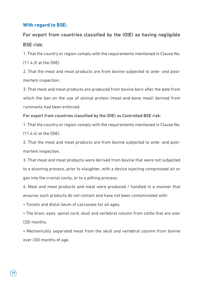#### **With regard to BSE:**

## For export from countries classified by the (OIE) as having negligible BSE risk:

1. That the country or region comply with the requirements mentioned in Clause No.

(11.4.3) at the (OIE).

2. That the meat and meat products are from bovine subjected to ante- and postmortem inspection.

3. That meat and meat products are produced from bovine born after the date from which the ban on the use of animal protein (meat-and-bone meal) derived from ruminants had been enforced.

#### For export from countries classified by the (OIE) as Controlled BSE risk:

1. That the country or region comply with the requirements mentioned in Clause No. (11.4.4) at the (OIE).

2. That the meat and meat products are from bovine subjected to ante- and postmortem inspection.

3. That meat and meat products were derived from bovine that were not subjected to a stunning process, prior to slaughter, with a device injecting compressed air or gas into the cranial cavity, or to a pithing process;

4. Meat and meat products and meat were produced / handled in a manner that ensures such products do not contain and have not been contaminated with:

• Tonsils and distal ileum of carcasses for all ages.

• The brain, eyes, spinal cord, skull and vertebral column from cattle that are over (30) months.

• Mechanically separated meat from the skull and vertebral column from bovine over (30) months of age.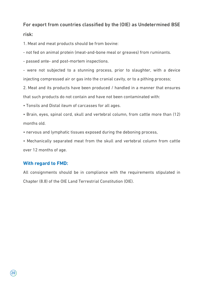# For export from countries classified by the (OIE) as Undetermined BSE

#### risk:

1. Meat and meat products should be from bovine:

- not fed on animal protein (meat-and-bone meal or greaves) from ruminants.

- passed ante- and post-mortem inspections.

- were not subjected to a stunning process, prior to slaughter, with a device injecting compressed air or gas into the cranial cavity, or to a pithing process;

2. Meat and its products have been produced / handled in a manner that ensures that such products do not contain and have not been contaminated with:

• Tonsils and Distal ileum of carcasses for all ages.

• Brain, eyes, spinal cord, skull and vertebral column, from cattle more than (12) months old.

• nervous and lymphatic tissues exposed during the deboning process,

• Mechanically separated meat from the skull and vertebral column from cattle over 12 months of age.

#### **With regard to FMD:**

All consignments should be in compliance with the requirements stipulated in Chapter (8.8) of the OIE Land Terrestrial Constitution (OIE).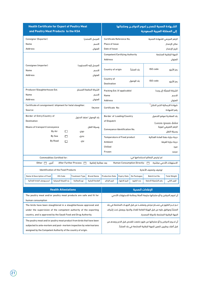| <b>Health Certificate for Export of Poultry Meat</b><br>and Poultry Meat Products to the KSA |                                                                                                                                     |                              |                                 | الشــهادة الصحية لتصديـر لحوم الدواجـن ومنتجاتها<br>إلى المملكة العربية السعودية |                                                           |                               |                                                                                                                                                |                          |
|----------------------------------------------------------------------------------------------|-------------------------------------------------------------------------------------------------------------------------------------|------------------------------|---------------------------------|----------------------------------------------------------------------------------|-----------------------------------------------------------|-------------------------------|------------------------------------------------------------------------------------------------------------------------------------------------|--------------------------|
| Consignor (Exporter)                                                                         | المرسل (المصدر)                                                                                                                     |                              |                                 |                                                                                  | Certificate Reference No.<br>الرقم المرجعى للشهادة الصحية |                               |                                                                                                                                                |                          |
| Name                                                                                         |                                                                                                                                     |                              | الاسم                           | Place of Issue                                                                   |                                                           |                               |                                                                                                                                                | مكان الإصدار             |
| <b>Address</b>                                                                               |                                                                                                                                     |                              | العنوان                         |                                                                                  | Date of Issue<br>تاريخ الإصدار                            |                               |                                                                                                                                                |                          |
|                                                                                              |                                                                                                                                     |                              |                                 | <b>Competent/Certifying Authority</b>                                            |                                                           |                               |                                                                                                                                                | الجهة الرقابية المختصة   |
|                                                                                              |                                                                                                                                     |                              |                                 | <b>Address</b>                                                                   |                                                           |                               |                                                                                                                                                | العنوان                  |
| Consignee (importer)                                                                         |                                                                                                                                     |                              |                                 |                                                                                  |                                                           |                               |                                                                                                                                                |                          |
| Name                                                                                         |                                                                                                                                     |                              | المرسل إليه (المستورد)<br>الاسم | Country of origin                                                                |                                                           | ىلد المنشأ                    | ISO code                                                                                                                                       | رمز الأيزو               |
| <b>Address</b>                                                                               |                                                                                                                                     |                              | العنوان                         |                                                                                  |                                                           |                               |                                                                                                                                                |                          |
|                                                                                              |                                                                                                                                     |                              |                                 | Country of                                                                       |                                                           |                               |                                                                                                                                                |                          |
|                                                                                              |                                                                                                                                     |                              |                                 | <b>Destination</b>                                                               |                                                           | بلد الوصول                    | ISO code                                                                                                                                       | رمز الأيزو               |
| Producer/Slaughterhouse Est.                                                                 |                                                                                                                                     |                              | الشركة الصانعة/المسلخ           | Packing Est. (if applicable)                                                     |                                                           |                               |                                                                                                                                                | الشركة المعىأة (ان وحد)  |
| Name                                                                                         |                                                                                                                                     |                              | الاسم                           | Name                                                                             |                                                           |                               |                                                                                                                                                | الاسم                    |
| <b>Address</b>                                                                               |                                                                                                                                     |                              | العنوان                         | <b>Address</b>                                                                   |                                                           |                               |                                                                                                                                                | العنوان                  |
| Certificate of consignment/ shipment for halal slaughter.                                    |                                                                                                                                     |                              |                                 |                                                                                  |                                                           |                               | شهادة الارسالية الذبح الحلال <sup>1</sup>                                                                                                      |                          |
| Source:                                                                                      | مصدرها:                                                                                                                             |                              |                                 | Certificate No:<br>رقم الشهادة                                                   |                                                           |                               |                                                                                                                                                |                          |
|                                                                                              | Border of Entry/Country of<br>بلد الوصول /منفذ الدخول                                                                               |                              |                                 | Border of Loading/Country<br>بلد المغادرة/موقع التحميل                           |                                                           |                               |                                                                                                                                                |                          |
| <b>Destination</b>                                                                           |                                                                                                                                     |                              |                                 | of Dispatch<br>Lorem ipsum dolor                                                 |                                                           |                               |                                                                                                                                                |                          |
| Means of transport/conveyance                                                                |                                                                                                                                     |                              | وسيلة النقل                     | الرقم التعريفي/هوية                                                              |                                                           |                               |                                                                                                                                                |                          |
|                                                                                              | By Air<br>П                                                                                                                         | جوی                          |                                 | Conveyance Identification No.                                                    |                                                           |                               |                                                                                                                                                | وسيلة النقل              |
|                                                                                              | By Sea<br>П                                                                                                                         | بحرى                         |                                 | <b>Temperature of Food product</b>                                               |                                                           |                               | درجة حرارة حفظ المادة الغذائية                                                                                                                 |                          |
|                                                                                              | <b>By Road</b><br>П                                                                                                                 | بري                          |                                 | Ambient<br>درجة حرارة الغرفة                                                     |                                                           |                               |                                                                                                                                                |                          |
|                                                                                              |                                                                                                                                     |                              |                                 | Chilled                                                                          |                                                           |                               |                                                                                                                                                | مبرد                     |
|                                                                                              |                                                                                                                                     |                              |                                 | Frozen                                                                           |                                                           |                               |                                                                                                                                                | مجمد                     |
|                                                                                              | <b>Commodities Certified for:</b>                                                                                                   |                              |                                 |                                                                                  |                                                           |                               | تم ترخيص البضائع لاستخدامها في:                                                                                                                |                          |
| آخری ∏ Other                                                                                 |                                                                                                                                     | After Further Process $\Box$ | بعد معالجة إضافية               |                                                                                  |                                                           | Human Consumption Directly: 0 |                                                                                                                                                | الاستهلاك الآدمى مباشرة: |
|                                                                                              | <b>Identification of the Food Products</b>                                                                                          |                              |                                 |                                                                                  |                                                           |                               | توصف وتصنيف الأغذية                                                                                                                            |                          |
| <b>Name &amp; Description of Food</b>                                                        | <b>HS-Code</b>                                                                                                                      | Treatment Type               | <b>Brand Name</b>               | <b>Production Date</b>                                                           | <b>Expiry Date</b>                                        | No Packages                   | Batch/Lot No.                                                                                                                                  | <b>Total Weight</b>      |
| اسم ووصف المادة الغذائية                                                                     | بند التعرفة الجمركية                                                                                                                | نوع المعالجة                 | العلامة التجارية                | تاريخ الإنتاج                                                                    | تاريخ الانتهاء                                            | عدد الطرود                    | رقم التشغيلة/الدفعة                                                                                                                            | الوزن الكلى              |
|                                                                                              |                                                                                                                                     |                              |                                 |                                                                                  |                                                           |                               |                                                                                                                                                |                          |
|                                                                                              | <b>Health Attestations</b>                                                                                                          |                              |                                 |                                                                                  |                                                           | الإفادات الصحية               |                                                                                                                                                |                          |
| The poultry meat and/or poultry meat products are safe and fit for                           |                                                                                                                                     |                              |                                 |                                                                                  |                                                           |                               | أن لحوم الدواجن و/أو منتجاتها سليمة (آمنة) وصالحة للاستهلاك الآدمي                                                                             |                          |
| human consumption                                                                            |                                                                                                                                     |                              |                                 |                                                                                  |                                                           |                               |                                                                                                                                                |                          |
| The birds have been slaughtered in a slaughterhouse approved and                             |                                                                                                                                     |                              |                                 |                                                                                  |                                                           |                               | تـم ذبـدِ الطيور في مسـلخ مرخص ومعتمـد من قبل الجهـات المختصة في بلد<br>المنشأ وموافق عليه من قبل الهيئة العامة للغذاء والدواء ويعمل تحت إشراف |                          |
|                                                                                              | under the supervision of the competent authority of the exporting<br>country, and is approved by the Saudi Food and Drug Authority. |                              |                                 |                                                                                  |                                                           |                               |                                                                                                                                                |                          |
|                                                                                              |                                                                                                                                     |                              |                                 |                                                                                  |                                                           |                               | الجهة الرقابية المختصة بالدولة المصدرة.                                                                                                        |                          |
| The poultry meat and/or poultry meat product from birds that have been                       |                                                                                                                                     |                              |                                 |                                                                                  |                                                           |                               | أن لحــوم الدواجن و/أو منتجاتها من طيور خضعت للفحص قبل الذبح وبعدھ من                                                                          |                          |
| subjected to ante-mortem and post- mortem inspection by veterinarians                        |                                                                                                                                     |                              |                                 |                                                                                  |                                                           |                               | قبل أطباء بيطريين تابعين للجهة الرقابية المختصة في بلد المنشأ.                                                                                 |                          |
| assigned by the Competent Authority of the country of origin.                                |                                                                                                                                     |                              |                                 |                                                                                  |                                                           |                               |                                                                                                                                                |                          |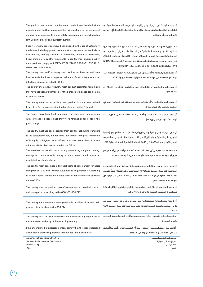| The poultry meat and/or poultry meat product was handled at an<br>establishment that has been subjected to inspections by the competent<br>authority and implements a food safety management system based on<br>HACCP principles or an equivalent system.                                                                                                                              | تم إجراء عمليات تداول لحوم الدواجن و/أو منتجاتها في منشأه خاضعة للرقابة من<br>قبل الجهة الرقابية المختصة، وتطبق نظام إدارة سـلامة الغذاء استناداً إلى مبادئ<br>نظام الهاسب أو ما يماثله.                                                                                                                                                                                           |
|----------------------------------------------------------------------------------------------------------------------------------------------------------------------------------------------------------------------------------------------------------------------------------------------------------------------------------------------------------------------------------------|------------------------------------------------------------------------------------------------------------------------------------------------------------------------------------------------------------------------------------------------------------------------------------------------------------------------------------------------------------------------------------|
| Good veterinary practices have been applied in the use of veterinary<br>medicines (including growth promoters) and agriculture chemicals in<br>live animals, and any residues of hormones, antibiotics, pesticides,<br>heavy metals or any other pollutants in poultry meat and/or poultry<br>meat products comply with (SFDA.FD 382/2019, GSO 2481, GSO 1016,<br>GSO CODEX STAN 193). | تـم تطبيق الممارسـات البيطرية الجيدة فى اسـتخدام الأدويــة البيطرية (بما فيها<br>محفـزات النمـو) والكيماويـات الزراعية فـى الحيوانات الحيــة, وأن أي متبقيات من<br>الهرمونـات، المضـادات الحيوية، المبيدات، المعادن الثقيلــة أو غيرها من الملوثات<br>فـي لحوم الدواجـن و/أو منتجاتهـا متوافقة مـع المتطلبات الخليجيـة SFDA.FD<br>382/2019, GSO 2481, GSO 1016, GSO CODEX STAN 193 |
| The poultry meat and/or poultry meat product has been derived from<br>healthy birds that have no apparent evidence of any contagious and/or<br>infectious disease as listed by (OIE).                                                                                                                                                                                                  | أن مصـدر لحـوم الدواجن و/أو منتجاتها هى طيـور خالية من الأمراض المعدية و/أو<br>الوبائية والمتضمنة في قوائم المنظمة الدولية للصحة الحيوانية (OIE).                                                                                                                                                                                                                                  |
| The poultry meat and/or poultry meat product originates from birds<br>that have not been slaughtered for the purpose of disease eradication<br>or disease control.                                                                                                                                                                                                                     | أن مصـدر لحوم الدواجن و/أو منتجاتها لم يتم ذبحها بقصد القضاء على الأمراض أو<br>التحكم فيها.                                                                                                                                                                                                                                                                                        |
| The poultry meat and/or poultry meat product has not been derived<br>from birds fed on processed animal protein, excluding fishmeal.                                                                                                                                                                                                                                                   | أن مصـدر لحـوم الدواجـن و/أو منتجاتها طيور لم يتـم تغذيتها بالبروتيـن الحيوانى<br>المصّنع، باستثناء تلك من الأسماك.                                                                                                                                                                                                                                                                |
| The Poultry have been kept in a country or zone free from infection<br>with Newcastle disease since they were hatched or for at least the<br>past 21 days                                                                                                                                                                                                                              | أن تكون الدواجن بقيت منذ فقســـها أو خلال الـ 21 يوماً الأخيرة على الأقل فى بلد<br>أو منطقة خاليه من مرض نيوكاسل.                                                                                                                                                                                                                                                                  |
| The poultry meat has been obtained from poultry that during transport<br>to the slaughterhouse, did not come into contact with poultry infected<br>with highly pathogenic avian influenza or Newcastle disease or any<br>other notifiable diseases included in the OIE list.                                                                                                           | أن تكون لحوم الدواجن ومنتجاتها من طيور لم تحتك مع طيور مصابة بمرض إنفلونزا<br>الطيــور عالــي الضراوة ومرض النيوكاســل أثنــاء نقلها للمنشــأة، او أي من الامراض<br>الواجب التبليغ عنها المذكورة في قائمة المنظمة العالمية للصحة الحيوانية OIE.                                                                                                                                    |
| The meat has not been in contact at any time during slaughter, cutting,<br>storage or transport with poultry or meat lower health status or<br>prohibited by Islamic sharia.                                                                                                                                                                                                           | عـدم احتـكاك اللحوم فــى أي وقت أثناء الذبـد أو التقطيع أو التخزيـن أو النقل مع<br>طيور أو لحوم ذات حالة صحية متدنية أو محرمة في الشريعة الإسلامية.                                                                                                                                                                                                                                |
| The poultry meat accompanied by Certificate of consignment for halal<br>slaughter per GSO 993 "Animal Slaughtering Requirements According<br>to Islamic Rules" Issued by a halal certification recognized by Halal<br>Center-SFDA.                                                                                                                                                     | أن تكـون لحوم الدواجن ومنتجاتها مصحوبة بشــهادة ارســالية الذبح الحلال حســب<br>المواصفة القياسـية الخليجية رقم (993)" اشـتراطات تذكية الحيوان طبقاً للأحكام<br>الإســلامية" صادرة من جهة مانحة لشــهادات الحلال والمعينــة من قبل مركز حلال<br>بالهيئة العامة للغذاء والدواء.                                                                                                     |
| The poultry meat or product thereof were prepared, handled, stored,<br>and transported according to the GSO 323, GSO 713"                                                                                                                                                                                                                                                              | أن لحـوم الدواجـن و/أو منتجاتهـا تـم تجهيزهـا وتداولهـا وتخزينهـا ونقلهـا وفقـآ<br>للمواصفات القياسية الخليجية GSO 323 و GSO 713.                                                                                                                                                                                                                                                  |
| The poultry meat were not from genetically modified birds and their<br>products in accordance with GSO 2141.                                                                                                                                                                                                                                                                           | أن لا تكون لحوم الدواجن ومنتجاتها من طيور محوره وراثياً أو تم الحصول عليها عن<br>طريق اسـتخدام التقنية الحيوية الحديثة وفقا للمواصفة القياسـية الخليجية GSO<br>2141                                                                                                                                                                                                                |
| The poultry meat derived from birds that were officially registered at<br>the competent authority of the exporting country                                                                                                                                                                                                                                                             | أن لحــوم الدواجن ناتجة من دواجن مســجلة رســمياً لدى الجهــة الرقابية المختصة<br>بالدولة المصدرة.                                                                                                                                                                                                                                                                                 |
| I the undersigned, authorized person, certify that the good described<br>above meets all the requirements mentioned in this certificate                                                                                                                                                                                                                                                | أنا الموقــع أدنــاھ المســئول المختص أفيد بأن البضاعــة الواردة أوصافها أعــلاھ<br>تستوفي جميع الشروط الصحية الواردة في الشهادة.                                                                                                                                                                                                                                                  |
| <b>Authorized officer Name &amp; Position</b><br>Name of the Responsible Department<br><b>Official Stamp</b><br>Date:                                                                                                                                                                                                                                                                  | اسم ووظيفة الشخص المختص<br>اسم الإدارة التي يتبع لها<br>الختم الرسمى<br>التاريخ:                                                                                                                                                                                                                                                                                                   |

 $\circled{22}$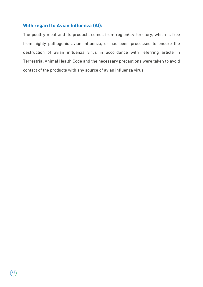#### **With regard to Avian Influenza (AI):**

The poultry meat and its products comes from region(s)/ territory, which is free from highly pathogenic avian influenza, or has been processed to ensure the destruction of avian influenza virus in accordance with referring article in Terrestrial Animal Health Code and the necessary precautions were taken to avoid contact of the products with any source of avian influenza virus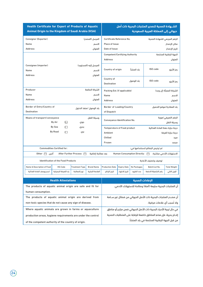| Health Certificate for Export of Products of Aquatic<br>Animal Origin to the Kingdom of Saudi Arabia (KSA) |                                              |                              |                           |                                                                   | الشــهادة الصحية لتصدير المنتجات البحرية ذات أصل<br>حيواني إلى المملكة العربية السعودية |                                    |                                                                    |                          |
|------------------------------------------------------------------------------------------------------------|----------------------------------------------|------------------------------|---------------------------|-------------------------------------------------------------------|-----------------------------------------------------------------------------------------|------------------------------------|--------------------------------------------------------------------|--------------------------|
| Consignor (Exporter)                                                                                       |                                              |                              | المرسل (المصدر)           | Certificate Reference No.                                         |                                                                                         |                                    | الرقم المرجعى للشهادة الصحية                                       |                          |
| Name                                                                                                       |                                              |                              | الاسم                     | Place of Issue                                                    |                                                                                         |                                    |                                                                    | مكان الإصدار             |
| <b>Address</b>                                                                                             |                                              |                              | العنوان                   | Date of Issue                                                     |                                                                                         |                                    |                                                                    | تاريخ الإصدار            |
|                                                                                                            |                                              |                              |                           | <b>Competent/Certifying Authority</b>                             |                                                                                         |                                    |                                                                    | الجهة الرقابية المختصة   |
|                                                                                                            |                                              |                              |                           | <b>Address</b>                                                    |                                                                                         |                                    |                                                                    | العنوان                  |
| Consignee (importer)                                                                                       |                                              |                              | المرسل إليه (المستورد)    |                                                                   |                                                                                         |                                    |                                                                    |                          |
| Name                                                                                                       |                                              |                              | الاسم                     | Country of origin                                                 |                                                                                         | ىلد المنشأ                         | ISO code                                                           | رمز الأيزو               |
| <b>Address</b>                                                                                             |                                              |                              | العنوان                   |                                                                   |                                                                                         |                                    |                                                                    |                          |
|                                                                                                            |                                              |                              |                           | Country of                                                        |                                                                                         | بلد الوصول                         | ISO code                                                           | رمز الأيزو               |
|                                                                                                            |                                              |                              |                           | <b>Destination</b>                                                |                                                                                         |                                    |                                                                    |                          |
| Producer                                                                                                   |                                              |                              | الشركة الصانعة            | Packing Est. (if applicable)                                      |                                                                                         |                                    |                                                                    | الشركة المعبأة (إن وجد)  |
| Name                                                                                                       |                                              |                              | الاسم                     | Name                                                              |                                                                                         |                                    |                                                                    | الاسم                    |
| <b>Address</b>                                                                                             |                                              |                              | العنوان<br><b>Address</b> |                                                                   |                                                                                         |                                    | العنوان                                                            |                          |
| Border of Entry/Country of                                                                                 |                                              |                              |                           |                                                                   | Border of Loading/Country<br>بلد المغادرة/موقع التحميل                                  |                                    |                                                                    |                          |
| <b>Destination</b>                                                                                         | يلد الوصول /منفذ الدخول                      |                              |                           |                                                                   | of Dispatch                                                                             |                                    |                                                                    |                          |
|                                                                                                            | Means of transport/conveyance<br>وسيلة النقل |                              |                           |                                                                   | الرقم التعريفي/هوية                                                                     |                                    |                                                                    |                          |
|                                                                                                            | By Air<br>□                                  | جوی                          |                           | Conveyance Identification No.                                     |                                                                                         |                                    |                                                                    | وسيلة النقل              |
|                                                                                                            | By Sea<br>П                                  | بحرى                         |                           | <b>Temperature of Food product</b>                                |                                                                                         |                                    | درجة حرارة حفظ المادة الغذائية                                     |                          |
|                                                                                                            | <b>By Road</b><br>П                          | بري                          |                           | Ambient                                                           |                                                                                         |                                    |                                                                    | درجة حرارة الغرفة        |
|                                                                                                            |                                              |                              |                           | Chilled                                                           |                                                                                         |                                    |                                                                    | مبرد                     |
|                                                                                                            |                                              |                              |                           | Frozen                                                            |                                                                                         |                                    |                                                                    | مجمد                     |
| <b>Commodities Certified for:</b>                                                                          |                                              |                              |                           | تم ترخيص البضائع لاستخدامها في:                                   |                                                                                         |                                    |                                                                    |                          |
| أخرى<br>Other $\Box$                                                                                       |                                              | After Further Process $\Box$ | بعد معالجة إضافية         |                                                                   |                                                                                         | Human Consumption Directly: $\Box$ |                                                                    | الاستهلاك الآدمى مباشرة: |
|                                                                                                            | <b>Identification of the Food Products</b>   |                              |                           |                                                                   |                                                                                         |                                    | توصيف وتصنيف الأغذية                                               |                          |
| Name & Description of Food                                                                                 | <b>HS-Code</b>                               | <b>Treatment Type</b>        | <b>Brand Name</b>         | <b>Production Date</b>                                            | <b>Expiry Date</b>                                                                      | No Packages                        | Batch/Lot No.                                                      | <b>Total Weight</b>      |
| اسم ووصف المادة الغذائية                                                                                   | بند التعرفة الجمركية                         | نوع المعالجة                 | العلامة التجارية          | تاريخ الإنتاج                                                     | تاريخ الانتهاء                                                                          | عدد الطرود                         | رقم التشغيلة/الدفعة                                                | الوزن الكلى              |
|                                                                                                            |                                              |                              |                           |                                                                   |                                                                                         |                                    |                                                                    |                          |
|                                                                                                            | <b>Health Attestations</b>                   |                              |                           |                                                                   |                                                                                         | البفادات الصحية                    |                                                                    |                          |
| The products of aquatic animal origin are safe and fit for                                                 |                                              |                              |                           |                                                                   |                                                                                         |                                    | أن المنتجات البحرية سليمة (آمنة) وصالحة للاستهلاك الآدمي.          |                          |
| human consumption.                                                                                         |                                              |                              |                           |                                                                   |                                                                                         |                                    |                                                                    |                          |
| The products of aquatic animal origin are derived from                                                     |                                              |                              |                           |                                                                   |                                                                                         |                                    | أن مصـدر المنتجات البحرية ذات الأصل الحيواني من فصائل غير ســامة   |                          |
| non-toxic species that do not cause any sign of disease.                                                   |                                              |                              |                           |                                                                   |                                                                                         |                                    | ولا تُسبب أي علامات مرضية.                                         |                          |
| Where aquatic animals are grown in farms or aquaculture                                                    |                                              |                              |                           |                                                                   |                                                                                         |                                    | في حال تربية الأحياء البحرية ذات الأصل الحيواني ضمن مزارع أو مناطق |                          |
| production areas, hygiene requirements are under the control                                               |                                              |                              |                           | إنتــاج بحرية، فإن هذه المناطق خاضعة للرقابة على المتطلبات الصحية |                                                                                         |                                    |                                                                    |                          |

من قبل الجهة الرقابية المختصة في بلد المنشأ.

of the competent authority of the country of origin.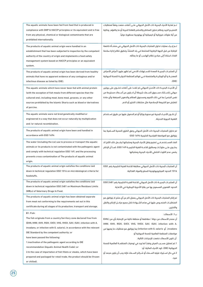| The aquatic animals have been fed from feed that is produced in          | تـم تغذية الأحياء البحرية ذات الأصل الحيوانى علـى أعلاف صنعت وفقآ لمتطلبات         |
|--------------------------------------------------------------------------|------------------------------------------------------------------------------------|
| compliance with GMP & HACCP principles or its equivalent and is free     | التصنيــع الجيد ونظام تحليل المخاطر والتحكم بالنقاط الحرجة أو ما يكافؤه. وخالية    |
| from any physical, chemical or biological contaminants that are          | من أية ملوثات فيزيائية أو كيميائية أو بيولوجية محظورة دولياً.                      |
| prohibited internationally.                                              |                                                                                    |
|                                                                          |                                                                                    |
| The products of aquatic animal origin were handled in an                 | تـم إجـراء عمليات تداول المنتجات البحرية ذات الأصل الحيواني في منشــأة خاضعة       |
| establishment that has been subjected to inspection by the competent     | للرقابة من قبل الجهة الرقابية المختصة في بلد المنشأ، وتطبق نظام إدارة سلامة        |
| authority of the country of origin and implements a food safety          | الغذاء استناداً إلى مبادئ نظام الهاسب أو ما يماثله.                                |
| management system based on HACCP principles or an equivalent             |                                                                                    |
| system.                                                                  |                                                                                    |
| The products of aquatic animal origin has been derived from healthy      | أن المنتجـات البحريــة المعدة للاســتهلاك الآدمى لم تظهر عليهــا أعراض الأمراض     |
| animals that have no apparent evidence of any contagious and/or          | المعديــة و/أو الوبائيــة والمتضمنة فــى قوائم المنظمة الدوليــة للصحة الحيوانية   |
| infectious disease as listed by (OIE).                                   | (OIE).                                                                             |
| The aquatic animals which have never been fed with animal protein        | أن الأحيــاء البحريــة ذات الأصـل الحيوانى لم تتغــذ على أعلاف تحتــوي على بروتين  |
| (with the exception of fish meals from different species than the        | حيواني (باسـتثناء مسـحوق الســمك شريطة أن لا يكون من أســماك مستزرعة من            |
| cultured one), including meat, bone meal, greaves, or any other          | نفس الجنس) بما في ذلك اللحوم ومسحوق العظام والدهون المجففة وأي مادة                |
| sources prohibited by the Islamic Sharia such as blood or derivatives    | تتعارض مع الشريعة الإسلامية مثل مشتقات الخنزير أو الدم.                            |
| of porcine.                                                              |                                                                                    |
|                                                                          | أن تكــون الأحيــاء البحرية غير محورة وراثياً أو تم الحصول عليها عن طريق اســتخدام |
| The aquatic animals were not bred genetically modified or                |                                                                                    |
| engineered in a way that does not occur naturally by multiplication      | التقنية الحيوية الحديثة.                                                           |
| and /or natural recombination.                                           |                                                                                    |
| The products of aquatic animal origin have been and handled in           | تم تداول المنتجات البحرية ذات الأصل الحيواني وفق الطرق الصحية الســلمية بما        |
| accordance with GSO 1694                                                 | يتوافق مع المواصفة القياسية الخليجية 1694 GSO                                      |
| The water (including the ice) use to process or transport the aquatic    | الماء المسـتخدم فــى تصنيع ونقل الأحياء البحرية ومنتجاتها (يشــمل ذلك الثلج) لا    |
| animals or its products is not contaminated with the pathogenic agent    | يحتـوى علـى ملوثـات ومطابق للائحــة الفنية الخليجيــة GSO 149، كمــا أن الإنتاج    |
| and comply with technical regulation GSO 149, and the processing         | يضمن عدم التلوث الخلطى للأحياء البحرية ومنتجاتها                                   |
| prevents cross contamination of The products of aquatic animal           |                                                                                    |
| origin.                                                                  |                                                                                    |
| The products of aquatic animal origin satisfies the conditions laid      | أن المنتجات البحرية ذات الأصل الحيواني مطابقة للائحة الفنية الخليجية رقم  GSO      |
| down in technical regulation GSO 1016 on microbiological criteria for    | 1016 الحدود الميكروبيولوجية للسلع والمواد الغذائية.                                |
| foodstuffs.                                                              |                                                                                    |
| The products of aquatic animal origin satisfies the conditions laid      | أن المنتجـات البحريــة ذات الأصل الحيواني للائحة الفنيــة الخليجية رقم 2481 GSO    |
| down in technical regulation GSO 2481 on Maximum Residues Limits         | الحدود القصوى المسموح بها من بقايا الأدوية البيطرية في الأغذية.                    |
| (MRLs) of Veterinary Drugs In Food.                                      |                                                                                    |
| The products of aquatic animal origin has been obtained separate         | تم إنتاج المنتجات البحرية ذات الأصل الحيواني بمعزل تام عن أي منتج لا يتوافق مع     |
| from meat not conforming to the requirements set out in this             | المتطلبـات المنصـوص عليها فى هذه الشــهادة خلال جميع مراحـل الإنتاج والنقل         |
| certificate during all stages of its production, transport and storage.  | والتخزين.                                                                          |
| B1: Fish:                                                                |                                                                                    |
| The fish originate from a country/territory zone declared free from      | ب1: الأسماك:                                                                       |
| (EHN, IHNV, KHV, RSIV, SVCV, VHS, VHSV, SAV, ISAV, infection with A.     | أن مصدر الأسماك من دولة / مقاطعة أو منطقة خالية من الاصابة بأي من (,EHN            |
| invadans, or infection with G. salaris), in accordance with the relevant | IHNV, KHV, RSIV, SVCV, VHS, VHSV, SAV, ISAV, infection with A.                     |
| OIE Standard by the competent authority; or                              | invadans, أو infection with G. salaris) بما يتوافق مع متطلبات ما يعنيها من         |
| have been passed the following:                                          | مواصفات المنظمة العالمية للصحة الحيوانية أو                                        |
| 1.inactivation of the pathogenic agent according to OIE                  | آن تكون الأسماك خضعت للإجراءات التالية:                                            |
| recommendation (Aquatic Animal Health Code); or                          | 1.تم تعطيل مسـبب المرض وفقـاً لما ورد فى توصيات المنظمـة العالمية للصحة            |
| 2. In the case of importation of fish fillets or steaks, which have been | الحيوانية (OIE). كود الأحياء المائية، أو:                                          |
| prepared and packaged for retail trade, the product should be (frozen    | 2.فى حال اســتيراد فيليه الســمك أو شــرائح الســمك فإنه يجب أن يكون مجمد أو       |
| or chilled).                                                             | مبر د.                                                                             |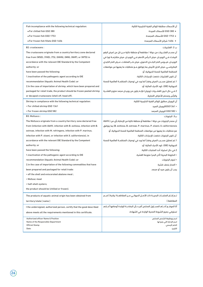| Fish incompliance with the following technical regulation:               | آن الأسماك مطابقة للوائح الفنية الخليجية التالية:                                   |
|--------------------------------------------------------------------------|-------------------------------------------------------------------------------------|
| . For chilled fish GSO 380                                               | ● GSO 380 للأسماك المبردة                                                           |
| . For frozen fish GSO 1753                                               | ● GSO 1753 للأسماك المجمدة                                                          |
| · For frozen fish fillets GSO 1406                                       | ●   1406 شرائح الأسماك المجمدة                                                      |
| B2: crustaceans:                                                         | ب 2: القشربات:                                                                      |
| The crustaceans originate from a country/territory zone declared         | أن مصـدر القشــريات من دولة / مقاطعة أو منطقة خالية مــن كل من (مرض البقع           |
| free from (WSD), (YHD), (TS), (IHHN), (IMN), (NHP), or (WTD) in          | البيضـاء فــى الروبيــان، مرض الــرأس الأصفر فــى الروبيــان، مرض متلازمــة تورا فى |
| accordance with the relevant OIE Standard by the Competent               | الروبيــان، فيــروس النخر الجلــدى الدموى، مرض نخــر العضلات، مــرض النخر الكبدى    |
| authority; or                                                            | البنكرياســـى، مرض الذيل الأبيض بما يتوافق مــع متطلبات ما يعنيها من مواصفات        |
| have been passed the following:                                          | المنظمة العالمية للصحة الحيوانية، أو                                                |
| 1. inactivation of the pathogenic agent according to OIE                 | أن تكون القشريات خضعت للإجراءات التالية:                                            |
| recommendation (Aquatic Animal Health Code); or                          | 1.تم تعطيل مسـبب المرض وفقـاً لما ورد فى توصيات المنظمـة العالمية للصحة             |
| 2.In the case of importation of shrimp, which have been prepared and     | الحيوانية (OIE). كود الأحياء المائية، أو:                                           |
| packaged for retail trade, the product should be frozen peeled shrimp    | 2.فــى حال كــون القشــريات (روبيان) فإنــه يكون من روبيــان مجمد منزوع القشــرة    |
| or decapod crustaceans (shell off, head off).                            | والرأس ومحضر للأغراض التحارية.                                                      |
| Shrimp in compliance with the following technical regulation:            | أن الروبيان مطابق للوائح الفنية الخليجية التالية:                                   |
| • For chilled shrimp GSO 1361                                            | • 6S01361لاروبيان المبرد                                                            |
| • For frozen shrimp GSO 582                                              | • 650 GSO للروبيان المجمد                                                           |
| B3: Molluscs:                                                            | ب3: الرخوبات:                                                                       |
| The Molluscs originate from a country/territory zone declared free       | أن مصدر الرخويات من دولة / مقاطعة أو منطقة خالية من الإصابة بأي من (AbHV،           |
| from (infection with AbHV, infection with B. exitiosa, infection with B. | B. exitiosa، B. ostreae، P. marinus، P. olseni، X. californiensis) بما يتوافق       |
| ostreae, infection with M. refringens, infection with P. marinus,        | مع متطلبات ما يعنيها من مواصفات المنظمة العالمية للصحة الحيوانية، أو                |
| infection with P. olseni, or infection with X. californiensis), in       | آن تكون الرخويات خضعت للإجراءات التالية:                                            |
| accordance with the relevant OIE Standard by the Competent               | 1.تم تعطيل مسـبب المرض وفقـاً لما ورد فى توصيات المنظمـة العالمية للصحة             |
| authority; or                                                            | الحيوانية (OIE). كود الأحياء المائية، أو:                                           |
| have been passed the following:                                          | 2.في حال استيراد أحد المنتجات التالية:                                              |
| 1.inactivation of the pathogenic agent according to OIE                  | • الحلزونة البحرية (أذن البحر) منزوعة القشرة.                                       |
| recommendation (Aquatic Animal Health Code); or                          | • لحوم الرخويات                                                                     |
| 2.in the case of importation of the following commodities that have      | • المحار ىنصف قشرة                                                                  |
| been prepared and packaged for retail trade:                             | يجب أن يكون مبرد أو مجمد.                                                           |
| . off the shell and eviscerated abalone meat;                            |                                                                                     |
| • Mollusc meat                                                           |                                                                                     |
| • half-shell oysters;                                                    |                                                                                     |
| the product should be (chilled or frozen).                               |                                                                                     |
| The products of aquatic animal origin has been obtained from             | تـم إنتـاج المنتجـات البحريــة ذات الأصـل الحيوانــى مــن المقاطعــة/ ولاية [ اســم |
| territory/state [ name ]                                                 | المقاطعة ]                                                                          |
| I the undersigned, authorized person, certify that the good described    | أنا الموقــع أدنــاھ المســئول المختص أفيـد بأن البضاعــة الواردة أوصافها أعــلاھ   |
| above meets all the requirements mentioned in this certificate.          | تستوفي جميع الشروط الصحية الواردة في الشهادة.                                       |
| <b>Authorized officer Name &amp; Position</b>                            | اسم ووظيفة الشخص المختص                                                             |
| Name of the Responsible Department<br><b>Official Stamp</b>              | اسم الإدارة التي يتبع لها<br>الختم الرسمى                                           |
| Date:                                                                    | التاريخ:                                                                            |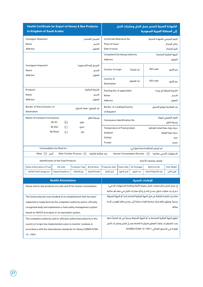| <b>Health Certificate for Export of Honey &amp; Bee Products</b><br>to Kingdom of Saudi Arabia |                                              |                         |                         |                                                                         |                    |                                    | الشهادة الصحية لتصدير عسل النحل ومنتجات النحل<br>إلى المملكة العربية السعودية |                           |  |  |
|------------------------------------------------------------------------------------------------|----------------------------------------------|-------------------------|-------------------------|-------------------------------------------------------------------------|--------------------|------------------------------------|-------------------------------------------------------------------------------|---------------------------|--|--|
| Consignor (Exporter)                                                                           |                                              |                         | المرسل (المصدر)         | Certificate Reference No.                                               |                    |                                    | الرقم المرجعى للشهادة الصحية                                                  |                           |  |  |
| Name                                                                                           | الاسم                                        |                         |                         |                                                                         |                    |                                    |                                                                               | مكان الإصدار              |  |  |
| <b>Address</b>                                                                                 |                                              |                         | العنوان                 | Date of Issue                                                           |                    |                                    |                                                                               | تاريخ الإصدار             |  |  |
|                                                                                                |                                              |                         |                         | <b>Competent/Certifying Authority</b>                                   |                    |                                    |                                                                               | الجهة الرقابية المختصة    |  |  |
|                                                                                                |                                              |                         |                         | <b>Address</b>                                                          |                    |                                    |                                                                               | العنوان                   |  |  |
| Consignee (importer)                                                                           |                                              |                         | المرسل إليه (المستورد)  |                                                                         |                    |                                    |                                                                               |                           |  |  |
| Name                                                                                           |                                              |                         | الاسم                   | Country of origin                                                       |                    | بلد المنشأ                         | ISO code                                                                      | رمز الأيزو                |  |  |
| <b>Address</b>                                                                                 |                                              |                         | العنوان                 |                                                                         |                    |                                    |                                                                               |                           |  |  |
|                                                                                                |                                              |                         |                         | Country of                                                              |                    |                                    |                                                                               |                           |  |  |
|                                                                                                |                                              |                         |                         | <b>Destination</b>                                                      |                    | بلد الوصول                         | ISO code                                                                      | رمز الأيزو                |  |  |
| Producer                                                                                       |                                              |                         | الشركة الصانعة          | Packing Est. (if applicable)                                            |                    |                                    |                                                                               | الشركة المعبأة (إن وجد)   |  |  |
| Name                                                                                           |                                              |                         | الاسم                   | Name                                                                    |                    |                                    |                                                                               | الاسم                     |  |  |
| <b>Address</b>                                                                                 |                                              |                         | العنوان                 | <b>Address</b>                                                          |                    |                                    |                                                                               | العنوان                   |  |  |
| Border of Entry/Country of                                                                     |                                              |                         |                         | Border of Loading/Country                                               |                    |                                    |                                                                               | بلد المغادرة/موقع التحميل |  |  |
| <b>Destination</b>                                                                             |                                              |                         | بلد الوصول /منفذ الدخول | of Dispatch                                                             |                    |                                    |                                                                               |                           |  |  |
|                                                                                                | وسيلة النقل                                  |                         |                         |                                                                         |                    | الرقم التعريفي/هوية                |                                                                               |                           |  |  |
| Means of transport/conveyance                                                                  | Conveyance Identification No.<br>وسيلة النقل |                         |                         |                                                                         |                    |                                    |                                                                               |                           |  |  |
|                                                                                                | By Air<br>П<br>By Sea<br>П                   | جوي<br>بحرى             |                         | <b>Temperature of Food product</b>                                      |                    |                                    |                                                                               |                           |  |  |
|                                                                                                | <b>By Road</b><br>П                          | بري                     |                         | درجة حرارة حفظ المادة الغذائية<br>Ambient<br>درجة حرارة الغرفة          |                    |                                    |                                                                               |                           |  |  |
|                                                                                                |                                              |                         |                         | Chilled                                                                 |                    |                                    |                                                                               |                           |  |  |
|                                                                                                |                                              |                         |                         | Frozen                                                                  |                    |                                    |                                                                               | مبرد<br>مجمد              |  |  |
|                                                                                                |                                              |                         |                         |                                                                         |                    |                                    |                                                                               |                           |  |  |
|                                                                                                | <b>Commodities Certified for:</b>            |                         |                         |                                                                         |                    |                                    | تم ترخيص البضائع لاستخدامها في:                                               |                           |  |  |
| آخری ∏ Other                                                                                   |                                              | After Further Process [ | بعد معالجة إضافية       |                                                                         |                    | Human Consumption Directly: $\Box$ |                                                                               | الاستهلاك الآدمى مباشرة:  |  |  |
|                                                                                                | <b>Identification of the Food Products</b>   |                         |                         |                                                                         |                    |                                    | توصيف وتصنيف الأغذية                                                          |                           |  |  |
| Name & Description of Food                                                                     | HS-Code                                      | <b>Treatment Type</b>   | <b>Brand Name</b>       | <b>Production Date</b>                                                  | <b>Expiry Date</b> | No Packages                        | Batch/Lot No.                                                                 | <b>Total Weight</b>       |  |  |
| اسم ووصف المادة الغذائية                                                                       | بند التعرفة الجمركية                         | نوع المعالجة            | العلامة التجارية        | تاريخ الإنتاج                                                           | تاريخ الانتهاء     | عدد الطرود                         | رقم التشغيلة/الدفعة                                                           | الوزن الكلى               |  |  |
|                                                                                                | <b>Health Attestations</b>                   |                         |                         |                                                                         |                    | الإفادات الصحية                    |                                                                               |                           |  |  |
| Honey and/or bee products are safe and fit for human consumption.                              |                                              |                         |                         |                                                                         |                    |                                    | إن عسل النحل و/أو منتجات النحل سليمة (أمنة) وصالحة للاستهلاك الادمى)          |                           |  |  |
|                                                                                                |                                              |                         |                         | تـم إجـراء عمليات تداول عسـل النحـل و/أو منتجـات النحل فى منشـأم غذائية |                    |                                    |                                                                               |                           |  |  |
| The food product(s) was handled at an establishment that has been                              |                                              |                         |                         |                                                                         |                    |                                    | (مناحـل) خاضعــة للرقابة من قبل الجهة الرقابية المختصــة و/ أو الجهة المخولة  |                           |  |  |
| subjected to inspections by the competent authority and/or officially                          |                                              |                         |                         |                                                                         |                    |                                    | رسمياً، وتطبق نظام إدارة سلامة الغذاء استناداً إلى مبادئ نظام الهاسب أو ما    |                           |  |  |
| recognized body and implements a food safety management system                                 |                                              |                         |                         |                                                                         | ىماثلە.            |                                    |                                                                               |                           |  |  |
| based on HACCP principles or an equivalent system.                                             |                                              |                         |                         |                                                                         |                    |                                    |                                                                               |                           |  |  |
| The competent authority and/or officially authorized authority in the                          |                                              |                         |                         |                                                                         |                    |                                    | تطبق الجهة الرقابية المختصة و/ أو الجهة المخولة رسمياً في بلد المنشأ خطة      |                           |  |  |
| country of origin has implemented a plan to monitor residues in                                |                                              |                         |                         |                                                                         |                    |                                    | رصد للمتبقيـات وفقــا للمعايير الدوليــة الخاصة بعســل النحل ومنتجــات النحل  |                           |  |  |
| accordance with the international standards for Honey (CODEX STAN                              |                                              |                         |                         |                                                                         |                    |                                    | الواردة في الدستور الغذائي ( 1981-12 CODEX STAN)).                            |                           |  |  |
| 12-1981)                                                                                       |                                              |                         |                         |                                                                         |                    |                                    |                                                                               |                           |  |  |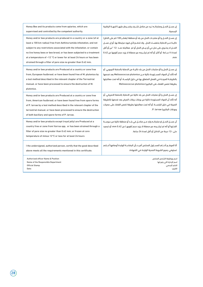| Honey Bee and its products come from apiaries, which are<br>supervised and controlled by the competent authority.                                                                                                                                                                                                                                                                                                                              | إن عسـل النحـل ومنتجاتـه تـرد من مناحل تشـرف وتسـيطر عليهـا الجهــة الرقابية<br>الرسمية.                                                                                                                                                                                                                                                    |
|------------------------------------------------------------------------------------------------------------------------------------------------------------------------------------------------------------------------------------------------------------------------------------------------------------------------------------------------------------------------------------------------------------------------------------------------|---------------------------------------------------------------------------------------------------------------------------------------------------------------------------------------------------------------------------------------------------------------------------------------------------------------------------------------------|
| Honey and/or bee products are produced in a country or a zone (of at<br>least a 100 km radius) free from Aethina tumida infestation, and not<br>subject to any restrictions associated with the infestation. or contain<br>no live honey bees or bee brood, or has been subjected to a treatment<br>at a temperature of $-12$ °C or lower for at least 24 hours or has been<br>strained through a filter of pore size no greater than 0.42 mm. | إن عسـل النحـل و/أو منتجـات النحل من بلد أو منطقة (بقطـر 100 كم على الاقل)<br>خاليــة مــن الاصابة بخنفســاء النحل ، ولا تخضـع لأي قيود مرتبطة بها. أو إن عســل<br>النحـل لا يحتــوي على نحل حى أو بيــض النحل أو تم  معالجته عنــد -12 °س أو أقل<br>لمدة ٢٤ ســاعة أو أكثر. أو أنه تم ترشــيحه عبر مصفاة لا يزيد حجم ثقوبها عن 0.42<br>.mm |
| Honey and/or bee products are Produced at a country or zone free<br>from, European foulbrood. or have been found free of M. plutonius by<br>a test method described in the relevant chapter of the Terrestrial<br>manual. or have been processed to ensure the destruction of M.<br>plutonius.                                                                                                                                                 | إن عســـل النحل و/أو منتجات النحل من بلد خاليـــة من الاصابة بالحضنة الاوروبي. أو<br>أنه تأكد أن المواد المســتوردة خالية مــن Melissococcus plutonius بعد فحصها<br>بالطريقــة المبينــة فى الفصل المتعلق بها فى دليل اليابســة. أو أنه تمت معالجتها<br>بطريقة تضمن القضاء على البكتيريا Melissococcus plutonius                            |
| Honey and/or bee products are Produced at a country or zone free<br>from, American foulbrood. or have been found free from spore forms<br>of P. larvae by a test method described in the relevant chapter of the<br>terrestrial manual, or have been processed to ensure the destruction<br>of both bacillary and spore forms of P. larvae.                                                                                                    | إن عســل النحل و/أو منتجات النحل من بلد خالية من الاصابة بالحضنة الامريكي. أو<br>أنه تأكد أن المواد المستوردة خالية من بوغات يرقات المرض بعد فحصها بالطريقة<br>المبينة في دليل اليابســة. أو أنه تمت معالجتها بطريقة تضمن القضاء على عصيات<br>وبوغات البكتيريا P. larvae.                                                                   |
| Honey and/or bee products except (royal jelly) are Produced at a<br>country free or zone from Varroa spp, or has been strained through a<br>filter of pore size no greater than 0.42 mm; or frozen at core<br>temperature of minus 12°C or less for at least 24 hours                                                                                                                                                                          | أن عسـل النحـل او منتجاتــه وارد مــن مناحـل فى بلــد أو منطقة خالية من سوســة<br>الفــاروا أو أنه تم ترشــيحه عبر مصفاة لا يزيد حجم ثقوبهــا عن mm 0.42؛ أو تجميد<br>حتى -12 درجة من الداخل أو أقل لمدة 24 ساعة.                                                                                                                           |
| I the undersigned, authorized person, certify that the good described<br>above meets all the requirements mentioned in this certificate.                                                                                                                                                                                                                                                                                                       | أنا الموقــع أدنــاھ المســئول المختص أفيــد بأن البضاعــة الواردة أوصافها أعــلاھ<br>تستوفي جميع الشروط الصحية الواردة في الشهادة.                                                                                                                                                                                                         |
| <b>Authorized officer Name &amp; Position</b><br>Name of the Responsible Department<br><b>Official Stamp</b><br>Date:                                                                                                                                                                                                                                                                                                                          | اسم ووظيفة الشخص المختص<br>اسم الإدارة التي يتبع لها<br>الختم الرسمى<br>التاريخ:                                                                                                                                                                                                                                                            |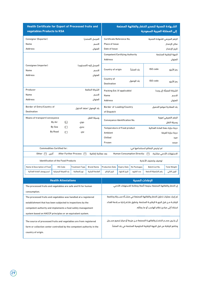| Health Certificate for Export of Processed fruits and<br>vegetables Products to KSA |                                              |                         |                        |                                                                      |                                                        | الشــهادة الصحية لتصدير الخضار والفاكهة المصنعة<br>إلى المملكة العربية السعودية |                                                                                 |                          |  |
|-------------------------------------------------------------------------------------|----------------------------------------------|-------------------------|------------------------|----------------------------------------------------------------------|--------------------------------------------------------|---------------------------------------------------------------------------------|---------------------------------------------------------------------------------|--------------------------|--|
| Consignor (Exporter)                                                                |                                              |                         | المرسل (المصدر)        | Certificate Reference No.                                            |                                                        |                                                                                 | الرقم المرجعى للشهادة الصحية                                                    |                          |  |
| Name                                                                                |                                              |                         | الاسم                  | <b>Place of Issue</b>                                                |                                                        |                                                                                 |                                                                                 | مكان الإصدار             |  |
| <b>Address</b>                                                                      |                                              |                         | العنوان                | Date of Issue                                                        |                                                        |                                                                                 |                                                                                 | تاريخ الإصدار            |  |
|                                                                                     |                                              |                         |                        | <b>Competent/Certifying Authority</b>                                |                                                        |                                                                                 |                                                                                 | الجهة الرقابية المختصة   |  |
|                                                                                     |                                              |                         |                        | <b>Address</b>                                                       |                                                        |                                                                                 |                                                                                 | العنوان                  |  |
| Consignee (importer)                                                                |                                              |                         | المرسل إليه (المستورد) |                                                                      |                                                        |                                                                                 |                                                                                 |                          |  |
| Name                                                                                |                                              |                         | الاسم                  | Country of origin                                                    |                                                        | بلد المنشأ                                                                      | ISO code                                                                        | رمز الأيزو               |  |
| <b>Address</b>                                                                      |                                              |                         | العنوان                |                                                                      |                                                        |                                                                                 |                                                                                 |                          |  |
|                                                                                     |                                              |                         |                        | Country of                                                           |                                                        |                                                                                 |                                                                                 |                          |  |
|                                                                                     |                                              |                         |                        | <b>Destination</b>                                                   |                                                        | بلد الوصول                                                                      | ISO code                                                                        | رمز الأيزو               |  |
| Producer                                                                            |                                              |                         | الشركة الصانعة         | Packing Est. (if applicable)                                         |                                                        |                                                                                 |                                                                                 | الشركة المعبأة (إن وجد)  |  |
| Name                                                                                |                                              |                         | الاسم                  | Name                                                                 |                                                        |                                                                                 |                                                                                 | الاسم                    |  |
| <b>Address</b>                                                                      |                                              |                         | العنوان                | <b>Address</b>                                                       |                                                        |                                                                                 |                                                                                 | العنوان                  |  |
|                                                                                     |                                              |                         |                        |                                                                      |                                                        |                                                                                 |                                                                                 |                          |  |
| Border of Entry/Country of<br>بلد الوصول /منفذ الدخول                               |                                              |                         |                        |                                                                      | Border of Loading/Country<br>بلد المغادرة/موقع التحميل |                                                                                 |                                                                                 |                          |  |
| <b>Destination</b>                                                                  |                                              |                         |                        | of Dispatch                                                          |                                                        |                                                                                 |                                                                                 |                          |  |
|                                                                                     | Means of transport/conveyance<br>وسيلة النقل |                         |                        | الرقم التعريفي/هوية<br>Conveyance Identification No.                 |                                                        |                                                                                 |                                                                                 |                          |  |
|                                                                                     | By Air<br>П                                  | جوی                     |                        |                                                                      |                                                        |                                                                                 |                                                                                 | وسيلة النقل              |  |
|                                                                                     | By Sea<br>П                                  | بحرى                    |                        | <b>Temperature of Food product</b><br>درجة حرارة حفظ المادة الغذائية |                                                        |                                                                                 |                                                                                 |                          |  |
|                                                                                     | <b>By Road</b><br>П                          | بري                     |                        | Ambient<br>درجة حرارة الغرفة                                         |                                                        |                                                                                 |                                                                                 |                          |  |
|                                                                                     |                                              |                         |                        | Chilled                                                              |                                                        |                                                                                 |                                                                                 | مبرد                     |  |
|                                                                                     |                                              |                         |                        | Frozen                                                               |                                                        |                                                                                 |                                                                                 | مجمد                     |  |
|                                                                                     | <b>Commodities Certified for:</b>            |                         |                        |                                                                      |                                                        |                                                                                 | تم ترخيص البضائع لاستخدامها في:                                                 |                          |  |
| Other $\Box$<br>اخرى                                                                |                                              | After Further Process [ | بعد معالجة إضافية      |                                                                      |                                                        | Human Consumption Directly: $\Box$                                              |                                                                                 | الاستهلاك الآدمى مباشرة: |  |
|                                                                                     | <b>Identification of the Food Products</b>   |                         |                        |                                                                      |                                                        |                                                                                 | توصيف وتصنيف الأغذية                                                            |                          |  |
| Name & Description of Food                                                          | HS-Code                                      | <b>Treatment Type</b>   | <b>Brand Name</b>      | <b>Production Date</b>                                               | <b>Expiry Date</b>                                     | No Packages                                                                     | Batch/Lot No.                                                                   | <b>Total Weight</b>      |  |
| اسم ووصف المادة الغذائية                                                            | بند التعرفة الجمركية                         | نوع المعالجة            | العلامة التجارية       | تاريخ الإنتاج                                                        | تاريخ الانتهاء                                         | عدد الطرود                                                                      | رقم التشغيلة/الدفعة                                                             | الوزن الكلى              |  |
|                                                                                     |                                              |                         |                        |                                                                      |                                                        |                                                                                 |                                                                                 |                          |  |
|                                                                                     | <b>Health Attestations</b>                   |                         |                        |                                                                      |                                                        | الإفادات الصحية                                                                 |                                                                                 |                          |  |
| The processed fruits and vegetables are safe and fit for human                      |                                              |                         |                        |                                                                      |                                                        |                                                                                 | إن الخضار والفاكهة المصنعة سليمة (آمنة) وصالحة للاستهلاك الآدمي.                |                          |  |
| consumption.                                                                        |                                              |                         |                        |                                                                      |                                                        |                                                                                 |                                                                                 |                          |  |
| The processed fruits and vegetables was handled at a registered                     |                                              |                         |                        |                                                                      |                                                        |                                                                                 | تم إجراء عمليات تداول الخضار والفاكهة المصنعة فى منشــأة مســجلة وخاضعة         |                          |  |
| establishment that has been subjected to inspections by the                         |                                              |                         |                        |                                                                      |                                                        |                                                                                 | للرقابـة مــن قبل الجهــة الرقابيــة المختصة، وتطبق نظــام إدارة ســلامة الغذاء |                          |  |
| competent authority and implements a food safety management                         |                                              |                         |                        | استناداً إلى مبادئ نظام الهاسب أو ما يماثله.                         |                                                        |                                                                                 |                                                                                 |                          |  |
| system based on HACCP principles or an equivalent system.                           |                                              |                         |                        |                                                                      |                                                        |                                                                                 |                                                                                 |                          |  |
|                                                                                     |                                              |                         |                        |                                                                      |                                                        |                                                                                 |                                                                                 |                          |  |
| The source of processed fruits and vegetables are from registered                   |                                              |                         |                        |                                                                      |                                                        |                                                                                 | أن يكـون مصـدر الخضـار والفاكهــة المصنعة مــن مزرعة أو مركز تجميع مســجل       |                          |  |
| farm or collection center controlled by the competent authority in the              |                                              |                         |                        |                                                                      |                                                        |                                                                                 | وخاضع للرقابة من قبل الجهة الرقابية الحكومية المختصة في بلد المنشأ.             |                          |  |
| country of origin.                                                                  |                                              |                         |                        |                                                                      |                                                        |                                                                                 |                                                                                 |                          |  |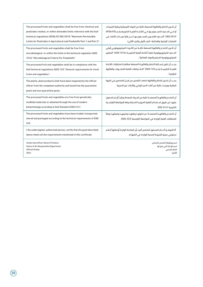| The processed fruits and vegetables shall be free from chemical and                                                                                                           | أن تكـون الخضار والفاكهة المصنعة خالية من المواد الكيميائية وبقايا المبيدات                                                                 |
|-------------------------------------------------------------------------------------------------------------------------------------------------------------------------------|---------------------------------------------------------------------------------------------------------------------------------------------|
| pesticides residue, or within allowable limits reference with the Gulf                                                                                                        | أو فــى الحــدود المســموح بها فــى اللائحــة الفنيــة الخليجية رقــم (SFDA.FD                                                              |
| technical regulations (SFDA.FD 382/2019) "Maximum Permissible                                                                                                                 | 382/2019) "الحـدود القصـوى المسـموح بهـا مـن بقايا مبيـدات الآفات فى                                                                        |
| Limits for Pesticides in Agricultural and Foodstuffs Part 1 and Part 2".                                                                                                      | المنتجات الزراعية والغذائية- الجزء الأول والجزء الثاني).                                                                                    |
| The processed fruits and vegetables shall be free from                                                                                                                        | أن تكـون الخضـار والفاكهة المصنعة خاليــة من التلــوث الميكروبيولوجى أوفى                                                                   |
| microbiological or within the limits in the technical regulation (GSO                                                                                                         | الحـدود الميكروبيولوجية طبقــاً للائحة الفنية الخليجيــة (1016 GSO) "المعايير                                                               |
| 1016) "Microbiological Criteria For Foodstuffs"                                                                                                                               | الميكروبيولوجية للسلع والمواد الغذائية".                                                                                                    |
| The processed fruit and vegetables shall be in compliance with the                                                                                                            | يجـب أن تكون ارســالية الخضار والفاكهــة المصنعة مطابقــة لمتطلبات اللائحة                                                                  |
| Gulf technical regulations (GSO 123) "General requirements for fresh                                                                                                          | الفنيــة الخليجيــة رقــم (123 GSO) "الاشــتراطات العامة للخضـروات والفاكهة                                                                 |
| fruits and vegetables".                                                                                                                                                       | الطازجة".                                                                                                                                   |
| The plants, plant products shall have been inspected by the official<br>officer from the competent authority and found free the quarantine<br>pests and non-quarantine pests. | يجــب أن تكــون الخضار والفاكهة خضعت للفحص من قبــل المختصين فى الجهة<br>الرقابية ووجدت خالية من آفات الحجر الزراعي والآفات غير الحجرية.    |
| The processed fruits and vegetables are free from genetically                                                                                                                 | أن الخضـار والفاكهــة المصنعــة خالية من المــواد المعدلة وراثيــاّ أو تم الحصول                                                            |
| modified materials or obtained through the use of modern                                                                                                                      | عليهــا عن طريق اســتخدام التقنية الحيويــة الحديثة وفقا للمواصفة القياســية                                                                |
| biotechnology according to Gulf Standard GSO 2141                                                                                                                             | الخليجية 2141 GSO                                                                                                                           |
| The processed fruits and vegetables have been traded, transported,<br>stored and packaged according to the technical requirements of GSO<br>323.                              | أن الخضـار والفاكهــة المصنعــة تــم تداولهــا ونقلهـا وتخزينهـا وتعبئتهـا وفقاً<br>للمتطلبات الفنية الواردة في المواصفة القياسية (323 GSO) |
| I the undersigned, authorized person, certify that the good described                                                                                                         | أنا الموقــع أدنــاھ المسئول المختص أفيد بأن البضاعة الواردة أوصافها أعلاھ                                                                  |
| above meets all the requirements mentioned in this certificate                                                                                                                | تستوفي جميع الشروط الصحية الواردة في الشهادة.                                                                                               |
| <b>Authorized officer Name &amp; Position</b>                                                                                                                                 | اسم ووظيفة الشخص المختص                                                                                                                     |
| Name of the Responsible Department                                                                                                                                            | اسم الإدارة التي يتبع لها                                                                                                                   |
| <b>Official Stamp</b>                                                                                                                                                         | الختم الرسمى                                                                                                                                |
| Date:                                                                                                                                                                         | التاريخ:                                                                                                                                    |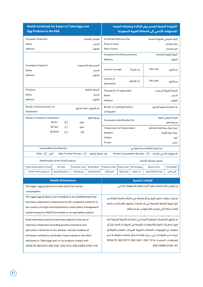| <b>Health Certificate for Export of Table Eggs and</b><br><b>Egg Products to the KSA</b> |                                       | الشهادة الصحية لتصدير بيض المائدة ومنتجاته المعدة<br>للاستهلاك الآدمي إلى المملكة العربية السعودية |                                 |                                                                      |                                                           |                                    |                                 |                           |
|------------------------------------------------------------------------------------------|---------------------------------------|----------------------------------------------------------------------------------------------------|---------------------------------|----------------------------------------------------------------------|-----------------------------------------------------------|------------------------------------|---------------------------------|---------------------------|
| Consignor (Exporter)                                                                     |                                       |                                                                                                    | المرسل (المصدر)                 |                                                                      | Certificate Reference No.<br>الرقم المرجعى للشهادة الصحية |                                    |                                 |                           |
| Name                                                                                     |                                       |                                                                                                    | Place of Issue                  |                                                                      |                                                           |                                    | مكان الإصدار                    |                           |
| <b>Address</b>                                                                           |                                       |                                                                                                    | العنوان                         | Date of Issue                                                        |                                                           |                                    |                                 | تاريخ الإصدار             |
|                                                                                          | <b>Competent/Certifying Authority</b> |                                                                                                    |                                 |                                                                      | الجهة الرقابية المختصة                                    |                                    |                                 |                           |
|                                                                                          |                                       |                                                                                                    |                                 | <b>Address</b>                                                       |                                                           |                                    |                                 | العنوان                   |
| Consignee (importer)                                                                     |                                       |                                                                                                    | المرسل إليه (المستورد)          |                                                                      |                                                           |                                    |                                 |                           |
| Name                                                                                     |                                       |                                                                                                    | الاسم                           | Country of origin                                                    |                                                           | ىلد المنشأ                         | ISO code                        | رمز الأيزو                |
| <b>Address</b>                                                                           |                                       |                                                                                                    | العنوان                         |                                                                      |                                                           |                                    |                                 |                           |
|                                                                                          |                                       |                                                                                                    |                                 | Country of<br><b>Destination</b>                                     |                                                           | بلد الوصول                         | ISO code                        | رمز الأيزو                |
|                                                                                          |                                       |                                                                                                    |                                 |                                                                      |                                                           |                                    |                                 |                           |
| Producer                                                                                 |                                       |                                                                                                    | الشركة الصانعة                  | الشركة المعبأة (إن وجد)<br>Packing Est. (if applicable)              |                                                           |                                    |                                 |                           |
| Name                                                                                     |                                       |                                                                                                    | الاسم                           | Name<br>الاسم                                                        |                                                           |                                    |                                 |                           |
| <b>Address</b>                                                                           |                                       |                                                                                                    | العنوان                         | <b>Address</b><br>العنوان                                            |                                                           |                                    |                                 |                           |
| Border of Entry/Country of                                                               |                                       |                                                                                                    | بلد الوصول /منفذ الدخول         | Border of Loading/Country                                            |                                                           |                                    |                                 | بلد المغادرة/موقع التحميل |
| <b>Destination</b>                                                                       |                                       |                                                                                                    |                                 | of Dispatch                                                          |                                                           |                                    |                                 |                           |
| Means of transport/conveyance                                                            |                                       |                                                                                                    | وسيلة النقل                     |                                                                      | الرقم التعريفي/هوية                                       |                                    |                                 |                           |
|                                                                                          | By Air<br>П                           | جوی                                                                                                |                                 | Conveyance Identification No.<br>وسيلة النقل                         |                                                           |                                    |                                 |                           |
|                                                                                          | By Sea<br>П                           | بحرى                                                                                               |                                 | <b>Temperature of Food product</b><br>درجة حرارة حفظ المادة الغذائية |                                                           |                                    |                                 |                           |
|                                                                                          | <b>By Road</b><br>П                   | بری                                                                                                |                                 | Ambient<br>درجة حرارة الغرفة                                         |                                                           |                                    |                                 |                           |
|                                                                                          |                                       |                                                                                                    |                                 | Chilled                                                              |                                                           |                                    |                                 | مبرد                      |
|                                                                                          |                                       |                                                                                                    |                                 | Frozen                                                               |                                                           |                                    | مجمد                            |                           |
|                                                                                          | <b>Commodities Certified for:</b>     |                                                                                                    |                                 |                                                                      |                                                           |                                    | تم ترخيص البضائع لاستخدامها في: |                           |
| Other $\Box$<br>آخری                                                                     |                                       | After Further Process $\Box$                                                                       | بعد معالجة إضافية               |                                                                      |                                                           | Human Consumption Directly: $\Box$ |                                 | الاستهلاك الآدمي مباشرة:  |
| <b>Identification of the Food Products</b>                                               |                                       |                                                                                                    |                                 | توصيف وتصنيف الأغذية                                                 |                                                           |                                    |                                 |                           |
| Name & Description of Food                                                               | <b>HS-Code</b>                        | <b>Treatment Type</b>                                                                              | <b>Brand Name</b>               | <b>Production Date</b>                                               | <b>Expiry Date</b>                                        | No Packages                        | Batch/Lot No.                   | <b>Total Weight</b>       |
| اسم ووصف المادة الغذائية                                                                 | بند التعرفة الجمركية                  | نوع المعالجة                                                                                       | العلامة التجارية                | تاريخ الإنتاج                                                        | تاريخ الانتهاء                                            | عدد الطرود                         | رقم التشغيلة/الدفعة             | الوزن الكلى               |
| <b>The chair Annual and</b>                                                              |                                       |                                                                                                    | <b>March 2010 and Contracts</b> |                                                                      |                                                           |                                    |                                 |                           |

| <b>Health Attestations</b>                                      | الافادات الصحبة                                                             |
|-----------------------------------------------------------------|-----------------------------------------------------------------------------|
| The eggs/egg products are safe and fit for human                | إن البيض و/أو منتجاته سليم (آمن) وصالح للاستهلاك الآدمي                     |
| consumption.                                                    |                                                                             |
| The eggs/egg products were handled at an establishment that     | تم إجراء عمليات تداول البيض و/أو منتجاته في منشأه خاضعة للرقابة من          |
| has been subjected to inspections by the competent authority in | قبل الجهة الرقابية المختصة في بلد المنشــأ، وتطبق نظام إدارة ســلامة        |
| the country of origin and implements a food safety management   | الغذاء استناداً إلى مبادئ نظام الهاسب أو ما يماثله.                         |
| system based on HACCP principles or an equivalent system.       |                                                                             |
| Good veterinary practices have been applied in the use of       | تم تطبيق الممارسات البيطرية الجيدة في استخدام الأدوية البيطرية (بما         |
| veterinary medicines (including growth promoters) and           | فيهـا محفـزات النمو) والكيماويـات الزراعية في الحيوانـات الحية, وأن أي      |
| agriculture chemicals in live animals, and any residues of      | متبقيات من الهرمونات، المضادات الحيوية، المبيدات، المعادن الثقيلة أو        |
| hormones, antibiotics, pesticides, heavy metals or any other    | غيرهـا مــن الملوثــات فــي بيـــض المائـــدة و/أو منتجاتــه متوافقــة مــع |
| pollutants in Table eggs and /or its products comply with       | SFDA.FD 382/2019, GSO 2481, GSO 1016, المتطلبات الخليجيـة                   |
| (SFDA.FD 382/2019, GSO 2481, GSO 1016, GSO CODEX STAN 193).     | GSO CODEX STAN 193                                                          |
|                                                                 |                                                                             |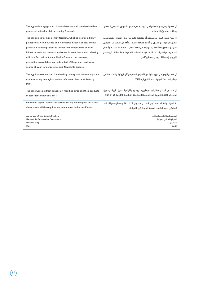| The egg and/or egg product has not been derived from birds fed on     | أن مصدر البيض و/أو منتجاتها من طيور لم يتم تغذيتها بالبروتين الحيواني المصَنع،     |
|-----------------------------------------------------------------------|------------------------------------------------------------------------------------|
| processed animal protein, excluding fishmeal.                         | باستثناء مسحوق الأسماك.                                                            |
| The egg comes from region(s)/ territory, which is free from highly    | ان يكون مصدر البيض من منطقة أو مقاطعة خالية من مرض انفلونزا الطيور شديد            |
| pathogenic avian influenza and Newcastle disease, or egg and its      | الضـراوة ومرض نيوكاسـل، أو أنه تم معالجة البيــض للتأكد من القضاء على فيروس        |
| products has been processed to ensure the destruction of avian        | إنفلونــزا الطيور وفقاً للطــرق الواردة فى الكود الصحى لحيوانات اليابســة؛ وأنه تم |
| influenza virus and Newcastle disease in accordance with referring    | اتخـاذ جميـع الاحتياطـات اللازمــة بعــد المعالجــة لمنع تلــوث البضاعة بــأى مصدر |
| article in Terrestrial Animal Health Code and the necessary           | لفيروس إنفلونزا الطيور ومرض نيوكاسل.                                               |
| precautions were taken to avoid contact of the products with any      |                                                                                    |
| source of avian influenza virus and Newcastle disease.                |                                                                                    |
| The egg has been derived from healthy poultry that have no apparent   | أن مصـدر البيض من طيور خالية من الأمراض المعدية و/أو الوبائية والمتضمنة في         |
| evidence of any contagious and/or infectious disease as listed by     | قوائم المنظمة الدولية للصحة الحيوانية (OIE).                                       |
| $(OIE)$ .                                                             |                                                                                    |
| The eggs were not from genetically modified birds and their products  | ان لا يكــون البيــض ومنتجاتها من طيور محورم وراثياً أو تم الحصول عليها عن طريق    |
| in accordance with GSO 2141.                                          | استخدام التقنية الحيوية الحديثة وفقا للمواصفة القياسية الخليجية GSO 2141           |
| I the undersigned, authorized person, certify that the good described | أنا الموقــع أدنــام المســئول المختص أفيد بأن البضاعــة الواردة أوصافها أعــلام   |
| above meets all the requirements mentioned in this certificate        | تستوفي جميع الشروط الصحية الواردة في الشهادة.                                      |
| <b>Authorized officer Name &amp; Position</b>                         | اسم ووظيفة الشخص المختص                                                            |
| Name of the Responsible Department                                    | اسم الإدارة التي يتبع لها                                                          |
| <b>Official Stamp</b><br>Date:                                        | الختم الرسمى<br>التاريخ:                                                           |
|                                                                       |                                                                                    |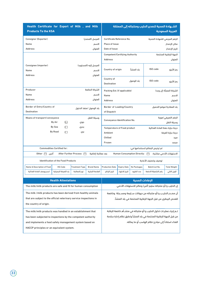| Health Certificate for Export of Milk, and Milk<br><b>Products To the KSA</b> |                                            |                              |                         |                                                        | الشــهادة الصحية لتصدير الحليب ومنتجاته إلى المملكة<br>العربية السعودية |                               |                                                                       |                          |  |
|-------------------------------------------------------------------------------|--------------------------------------------|------------------------------|-------------------------|--------------------------------------------------------|-------------------------------------------------------------------------|-------------------------------|-----------------------------------------------------------------------|--------------------------|--|
| Consignor (Exporter)                                                          |                                            |                              | المرسل (المصدر)         |                                                        | Certificate Reference No.<br>الرقم المرجعى للشهادة الصحية               |                               |                                                                       |                          |  |
| Name                                                                          | الاسم                                      |                              |                         |                                                        |                                                                         |                               |                                                                       | مكان الإصدار             |  |
| <b>Address</b>                                                                |                                            |                              | العنوان                 | Date of Issue                                          |                                                                         |                               |                                                                       | تاريخ الإصدار            |  |
|                                                                               |                                            |                              |                         | <b>Competent/Certifying Authority</b>                  |                                                                         |                               |                                                                       | الجهة الرقابية المختصة   |  |
|                                                                               |                                            |                              |                         | <b>Address</b>                                         |                                                                         |                               |                                                                       | العنوان                  |  |
| Consignee (importer)                                                          |                                            |                              | المرسل إليه (المستورد)  |                                                        |                                                                         |                               |                                                                       |                          |  |
| Name                                                                          |                                            |                              | الاسم                   | Country of origin                                      |                                                                         | ىلد المنشأ                    | ISO code                                                              | رمز الأيزو               |  |
| <b>Address</b>                                                                |                                            |                              | العنوان                 |                                                        |                                                                         |                               |                                                                       |                          |  |
|                                                                               |                                            |                              |                         | Country of                                             |                                                                         | بلد الوصول                    | ISO code                                                              | رمز الأيزو               |  |
|                                                                               |                                            |                              |                         | <b>Destination</b>                                     |                                                                         |                               |                                                                       |                          |  |
| Producer                                                                      |                                            |                              | الشركة الصانعة          | Packing Est. (if applicable)                           |                                                                         |                               |                                                                       | الشركة المعىأة (ان وحد)  |  |
| Name                                                                          |                                            |                              | الاسم                   | Name                                                   |                                                                         |                               |                                                                       | الاسم                    |  |
| <b>Address</b>                                                                |                                            |                              | العنوان                 | <b>Address</b>                                         |                                                                         |                               |                                                                       | العنوان                  |  |
| Border of Entry/Country of                                                    |                                            |                              | يلد الوصول /منفذ الدخول | Border of Loading/Country<br>بلد المغادرة/موقع التحميل |                                                                         |                               |                                                                       |                          |  |
| <b>Destination</b>                                                            |                                            |                              |                         | of Dispatch                                            |                                                                         |                               |                                                                       |                          |  |
| Means of transport/conveyance                                                 |                                            |                              | وسيلة النقل             |                                                        |                                                                         |                               |                                                                       | الرقم التعريفي/هوية      |  |
|                                                                               | □<br>By Air                                | جوی                          |                         | Conveyance Identification No.<br>وسيلة النقل           |                                                                         |                               |                                                                       |                          |  |
|                                                                               | By Sea<br>П                                | بحرى                         |                         | <b>Temperature of Food product</b>                     |                                                                         |                               | درجة حرارة حفظ المادة الغذائية                                        |                          |  |
|                                                                               | <b>By Road</b><br>П                        | بری                          |                         | Ambient<br>درجة حرارة الغرفة                           |                                                                         |                               |                                                                       |                          |  |
|                                                                               |                                            |                              |                         | Chilled<br>مبرد                                        |                                                                         |                               |                                                                       |                          |  |
|                                                                               |                                            |                              |                         | Frozen                                                 |                                                                         |                               |                                                                       | مجمد                     |  |
|                                                                               | <b>Commodities Certified for:</b>          |                              |                         |                                                        |                                                                         |                               | تم ترخيص البضائع لاستخدامها في:                                       |                          |  |
| أخرى<br>Other $\Box$                                                          |                                            | After Further Process $\Box$ | بعد معالجة إضافية       |                                                        |                                                                         | Human Consumption Directly: 0 |                                                                       | الاستهلاك الآدمى مباشرة: |  |
|                                                                               | <b>Identification of the Food Products</b> |                              |                         |                                                        |                                                                         |                               | توصيف وتصنيف الأغذية                                                  |                          |  |
| Name & Description of Food                                                    | <b>HS-Code</b>                             | <b>Treatment Type</b>        | <b>Brand Name</b>       | <b>Production Date</b>                                 | <b>Expiry Date</b>                                                      | No Packages                   | Batch/Lot No.                                                         | <b>Total Weight</b>      |  |
| اسم ووصف المادة الغذائية                                                      | بند التعرفة الجمركية                       | نوع المعالجة                 | العلامة التجارية        | تاريخ الإنتاج                                          | تاريخ الانتهاء                                                          | عدد الطرود                    | رقم التشغىلة/الدفعة                                                   | الوزن الكلى              |  |
|                                                                               | <b>Health Attestations</b>                 |                              |                         |                                                        |                                                                         | الإفادات الصحية               |                                                                       |                          |  |
|                                                                               |                                            |                              |                         |                                                        |                                                                         |                               | إن الحليب و/أو منتجاته سليم (آمن) وصالح للاستهلاك الآدمي              |                          |  |
| The milk/milk products are safe and fit for human consumption                 |                                            |                              |                         |                                                        |                                                                         |                               |                                                                       |                          |  |
| The milk /milk products has been derived from healthy animals                 |                                            |                              |                         |                                                        |                                                                         |                               | أن مصـدر الحليـب و/أو منتجاته من حيوانات سـليمة ومسـجلة  وخاضعة       |                          |  |
| that are subject to the official veterinary service inspections in            |                                            |                              |                         |                                                        |                                                                         |                               | للفحص البيطري من قبل الجهة الرقابية المختصة فى بلد المنشأ.            |                          |  |
| the country of origin.                                                        |                                            |                              |                         |                                                        |                                                                         |                               |                                                                       |                          |  |
| The milk/milk products was handled in an establishment that                   |                                            |                              |                         |                                                        |                                                                         |                               | تـم إجراء عمليــات تداول الحليب و/أو منتجاته فى منشــأھ خاضعة للرقابة |                          |  |
| has been subjected to inspections by the competent authority                  |                                            |                              |                         |                                                        |                                                                         |                               | من قبل الجهة الرقابية المختصة فى بلد المنشأ وتطبق نظام إدارة سلامة    |                          |  |
| and implements a food safety management system based on                       |                                            |                              |                         | الغذاء استناداً إلى مبادئ نظام الهاسب أو ما يماثله.    |                                                                         |                               |                                                                       |                          |  |

HACCP principles or an equivalent system.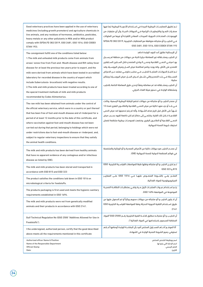| Good veterinary practices have been applied in the use of veterinary<br>medicines (including growth promoters) and agriculture chemicals in<br>live animals, and any residues of hormones, antibiotics, pesticides,<br>heavy metals or any other pollutants in Milk and/or Milk product<br>comply with (SFDA.FD 382/2019, GSO 2481, GSO 1016, GSO CODEX<br><b>STAN 193).</b>                                                                                                                                                                                                                                                                                | تـم تطبيق الممارسـات البيطرية الجيدة فى اسـتخدام الأدويـة البيطرية (بما فيها<br>محفــزات النمــو) والكيماويــات الزراعية فــى الحيوانات الحيــة, وأن أى متبقيات من<br>الهرمونــات، المضــادات الحيوية، المبيدات، المعادن الثقيلــة أو غيرها من الملوثات<br>فـى الحليب و/أو منتجاته متوافقة مع المتطلبات الخليجية ,SFDA.FD 382/2019<br>GSO 2481, GSO 1016, GSO CODEX STAN 193                                                                                                                                                                                                                                         |
|-------------------------------------------------------------------------------------------------------------------------------------------------------------------------------------------------------------------------------------------------------------------------------------------------------------------------------------------------------------------------------------------------------------------------------------------------------------------------------------------------------------------------------------------------------------------------------------------------------------------------------------------------------------|----------------------------------------------------------------------------------------------------------------------------------------------------------------------------------------------------------------------------------------------------------------------------------------------------------------------------------------------------------------------------------------------------------------------------------------------------------------------------------------------------------------------------------------------------------------------------------------------------------------------|
| The consignment fulfill one of the conditions listed below:<br>1. The milk and unheated milk products come from animals from<br>areas/ zones free from Foot-and- Mouth disease and Rift valley fever<br>disease for at least the previous two years prior to export, and the<br>milk were derived from animals which have been tested in accredited<br>laboratory for recorded disease in the country of export which<br>include (tuberculosis- brucellosis) with negative results.<br>2. The milk and milk products have been treated according to one of<br>the special treatment methods of milk and milk products<br>recommended by Codex Alimentarius. | أن الإرسالية تطابق أحد البنود الواردة ادناهـ:<br>ان الحليب ومشــتقاته غير المعاملة حراريا ناتجة من حيوانات من منطقة لم يســجل<br>بهــا مرضــى الحمــى القلاعية وحمــى الــوادى المتصدع خلال الســنتين الســابقتين<br>للتصدير على الأقل، وانه يوجد برنامج لمكافحة مرض الســل ومرض البروســيلا وقد<br>تـم اختبــار الحيوانــات المنتجــة للحليــب فــى مختبــر حكومــى معتمد عــن الامراض<br>المســجلة فــى بلــد التصدير والتى تشــمل (مــرض الســل-مرض البروســيلا) وبنتائج<br>سلىية.<br>أن الحليب ومشــتقاته قد تم معاملته وفقاً لإحدى طرق المعاملة الخاصة بالحليب<br>ومشتقاته الواردة في دستور هيئة الغذاء الدولي. |
| The raw milk has been obtained from animals under the control of<br>the official veterinary service, which were in a country or part thereof<br>that has been free of foot-and-mouth disease and of rinderpest for a<br>period of at least 12 months prior to the date of this certificate, and<br>where vaccination against foot-and-mouth disease has not been<br>carried out during that period, belonging to holdings which were not<br>under restrictions due to foot-and-mouth disease or rinderpest, and,<br>subject to regular veterinary inspections to ensure that they satisfy<br>the animal health conditions.                                  | أن مصدر الحليب و/أو منتحاته من حيوانات تخضع للرقاية البيطرية الرسمية، وكانت<br>فــى بلــد أو جزء منهــا خالية من مرض الحمــى القلاعية والطاعــون البقرى لمدة 12<br>شـــهرا على الأقل قبل تاريخ هذه الشـــهادة، وأنه لم يتم تحصينها ضد مرض الحمي<br>القلاعيــة خــلال تلك الفترة، وتنتمــى إلى حضائر لم تكن خاضعة لقيود بســبب مرض<br>الحمــى القلاعية أو الطاعــون البقرى، وخضعت لفحوصـات بيطرية منتظمة لضمان<br>استيفاء شروط الصحة الحيوانية.                                                                                                                                                                       |
| The milk and milk products has been derived from healthy animals<br>that have no apparent evidence of any contagious and/or infectious<br>disease as listed by (OIE).                                                                                                                                                                                                                                                                                                                                                                                                                                                                                       | أن مصـدر الحليب هو حيوانات خالية من الأمراض المعدية و/أو الوبائية والمتضمنة<br>في قوائم المنظمة الدولية للصحة الحيوانية (OIE).                                                                                                                                                                                                                                                                                                                                                                                                                                                                                       |
| The milk and milk products has been stored and transported in                                                                                                                                                                                                                                                                                                                                                                                                                                                                                                                                                                                               | تـم تخزيـن الحليب و/أو منتجاته ونقلها طبقا للمواصفات القياسـية الخليجية  GSO                                                                                                                                                                                                                                                                                                                                                                                                                                                                                                                                         |
| accordance with GSO 815 and GSO 323                                                                                                                                                                                                                                                                                                                                                                                                                                                                                                                                                                                                                         | 6SO 323 g 815                                                                                                                                                                                                                                                                                                                                                                                                                                                                                                                                                                                                        |
| The product satisfies the conditions laid down in GSO 1016 on                                                                                                                                                                                                                                                                                                                                                                                                                                                                                                                                                                                               | المنتــج يفــي بالشــروط المنصــوص عليهــا فــي 1016 GSO علــى المعاييــر                                                                                                                                                                                                                                                                                                                                                                                                                                                                                                                                            |
| microbiological criteria for foodstuffs.                                                                                                                                                                                                                                                                                                                                                                                                                                                                                                                                                                                                                    | الميكروبيولوجية للمواد الغذائية.                                                                                                                                                                                                                                                                                                                                                                                                                                                                                                                                                                                     |
| The products packaging is first used and meets the hygienic-sanitary                                                                                                                                                                                                                                                                                                                                                                                                                                                                                                                                                                                        | يتـم اسـتخدام عبـوات المنتجـات لأول مـرة وتفـى بمتطلبـات النظافـة الصحيـة                                                                                                                                                                                                                                                                                                                                                                                                                                                                                                                                            |
| requirements established in GSO 1694.                                                                                                                                                                                                                                                                                                                                                                                                                                                                                                                                                                                                                       | الموضوعة في المواصفة 1694 GSO.                                                                                                                                                                                                                                                                                                                                                                                                                                                                                                                                                                                       |
| The milk and milk products were not from genetically modified<br>animals and their products in accordance with GSO 2141.                                                                                                                                                                                                                                                                                                                                                                                                                                                                                                                                    | أن لا يكون الحليب و/أو منتجاته من حيوانات محوره وراثياً أو تم الحصول عليها عن<br>طريق اسـتخدام التقنية الحيوية الحديثة وفقا للمواصفة القياسـية الخليجية GSO<br>2141                                                                                                                                                                                                                                                                                                                                                                                                                                                  |
| Gulf Technical Regulation No (GSO 2500 "Additives Allowed for Use in                                                                                                                                                                                                                                                                                                                                                                                                                                                                                                                                                                                        | أن الحليـب و/أو منتجاتـه مطابق للائحـة الفنية الخليجية رقـم (2500 GSO"المواد                                                                                                                                                                                                                                                                                                                                                                                                                                                                                                                                         |
| Foodstuffs").                                                                                                                                                                                                                                                                                                                                                                                                                                                                                                                                                                                                                                               | المضافة المسموح باستخدامها في المواد الغذائية").                                                                                                                                                                                                                                                                                                                                                                                                                                                                                                                                                                     |
| I the undersigned, authorized person, certify that the good described                                                                                                                                                                                                                                                                                                                                                                                                                                                                                                                                                                                       | أنا الموقــع أدنــاھ المســئول المختص أفيد بأن البضاعــة الواردة أوصافها أعــلاھ                                                                                                                                                                                                                                                                                                                                                                                                                                                                                                                                     |
| above meets all the requirements mentioned in this certificate                                                                                                                                                                                                                                                                                                                                                                                                                                                                                                                                                                                              | تستوفي جميع الشروط الصحية الواردة في الشهادة.                                                                                                                                                                                                                                                                                                                                                                                                                                                                                                                                                                        |
| <b>Authorized officer Name &amp; Position</b>                                                                                                                                                                                                                                                                                                                                                                                                                                                                                                                                                                                                               | اسم ووظيفة الشخص المختص                                                                                                                                                                                                                                                                                                                                                                                                                                                                                                                                                                                              |
| Name of the Responsible Department                                                                                                                                                                                                                                                                                                                                                                                                                                                                                                                                                                                                                          | اسم الإدارة التي يتبع لها                                                                                                                                                                                                                                                                                                                                                                                                                                                                                                                                                                                            |
| <b>Official Stamp</b>                                                                                                                                                                                                                                                                                                                                                                                                                                                                                                                                                                                                                                       | الختم الرسمى                                                                                                                                                                                                                                                                                                                                                                                                                                                                                                                                                                                                         |
| Date:                                                                                                                                                                                                                                                                                                                                                                                                                                                                                                                                                                                                                                                       | التاريخ:                                                                                                                                                                                                                                                                                                                                                                                                                                                                                                                                                                                                             |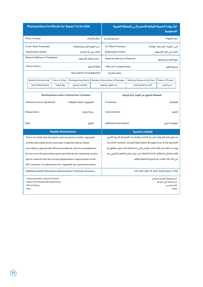| <b>Phytosanitary Certificate for Export To the KSA</b>                                                                 |                                                                       |                            |                                   |                                |                                                                                  | الشــهادة الصحية النباتية للتصدير إلــى المملكة العربية | السعودية                                                                         |  |  |
|------------------------------------------------------------------------------------------------------------------------|-----------------------------------------------------------------------|----------------------------|-----------------------------------|--------------------------------|----------------------------------------------------------------------------------|---------------------------------------------------------|----------------------------------------------------------------------------------|--|--|
| Place of Issue:<br>مكان الإصدار:                                                                                       |                                                                       |                            |                                   | رقم الشهادة<br>Certificate No: |                                                                                  |                                                         |                                                                                  |  |  |
| <b>From: Plant Protection</b><br>مــن الجهــة الرســمية لوقاية                                                         |                                                                       |                            | <b>To: Plant Protection</b>       |                                | إلــى الجهــة الرســمية لوقايــة                                                 |                                                         |                                                                                  |  |  |
|                                                                                                                        | <b>Organization Name:</b>                                             |                            | النبات في بلد المصدر              |                                | <b>Organization Name:</b>                                                        |                                                         | النبات فى البلد المستورد                                                         |  |  |
|                                                                                                                        | Name & Address of Consignee                                           |                            | إسم وعنوان المستورد               |                                | Name & Address of Exporter                                                       |                                                         | جهة التصدير وعنوانها                                                             |  |  |
|                                                                                                                        | <b>Point of Entry</b>                                                 |                            |                                   | نقطة الدخول                    | <b>Mean of Transportation:</b>                                                   |                                                         | وسيلة النقل:                                                                     |  |  |
|                                                                                                                        |                                                                       |                            | <b>Description of Consignment</b> |                                | وصف الشحنة                                                                       |                                                         |                                                                                  |  |  |
|                                                                                                                        | <b>Quantity Declared (kg)</b>                                         | Place of Origin            | <b>Distinguishing Marks</b>       |                                | <b>Number &amp; Description of Packages</b>                                      | <b>Botanical Names of the Plant</b>                     | Name of Product                                                                  |  |  |
|                                                                                                                        | الكمية المعلنة (كجم)                                                  | جهة المنشأ                 | العلامات المميزة                  |                                | عدد الطرود ووصفها                                                                | الأسماء العلمية للنبات                                  | إسم المنتج                                                                       |  |  |
| <b>Disinfestations and/or Disinfection Treatment</b><br>الكيماويات (المادة الفعالة) :<br>Chemical (active ingredient): |                                                                       |                            |                                   |                                | المعاملة للتطهير من التلوث و/أو الاصابة<br>Treatment:<br>المعالجة:               |                                                         |                                                                                  |  |  |
|                                                                                                                        | Temperature:                                                          |                            | درجة الحرارة:                     |                                | Concentration:                                                                   | التركيز:                                                |                                                                                  |  |  |
|                                                                                                                        | Date:                                                                 |                            |                                   | التاريخ:                       | معلومات أخرى:<br><b>Additional Information:</b>                                  |                                                         |                                                                                  |  |  |
|                                                                                                                        |                                                                       | <b>Health Attestations</b> |                                   |                                |                                                                                  | الافادات الصحبة                                         |                                                                                  |  |  |
|                                                                                                                        | This is to certify that the plants, plant products or other regulated |                            |                                   |                                | تصـادق هذم الشــمادة علــى أن النباتــات والمنتجــات النباتية أو المــواد الأخرى |                                                         |                                                                                  |  |  |
|                                                                                                                        | articles described herein have been inspected and/or tested           |                            |                                   |                                | المذكـورة هنا قد تم فحصها و/أو اختبارها وفقا للإجراءات المعتمدة المناسـبة        |                                                         |                                                                                  |  |  |
|                                                                                                                        | according to appropriate official procedures, and are considered to   |                            |                                   |                                | ووجـدت خاليــة من آفات الحجـر الزراعى التي حددها البلد المســتورد، وتتفق مع      |                                                         |                                                                                  |  |  |
|                                                                                                                        | be free from the quarantine pests specified by the importing country  |                            |                                   |                                | الوضـع الحالي لمتطلبات الصحة النباتية لــدى دول مجلس التعاون الخليجي، بما        |                                                         |                                                                                  |  |  |
| and to conform with the current phytosanitary requirements of the                                                      |                                                                       |                            |                                   |                                | في ذلك تلك الآفات غير الحجرية الخاضعة للوائح.                                    |                                                         |                                                                                  |  |  |
| GCC countries, including those for regulated non-quarantine pests.                                                     |                                                                       |                            |                                   |                                |                                                                                  |                                                         |                                                                                  |  |  |
| Additional Health Attestations (Declarations) if deemed necessary                                                      |                                                                       |                            |                                   |                                |                                                                                  | إفادات صحية إضافية خاصة، إذا تطلب الأمر ذلك             |                                                                                  |  |  |
| <b>Authorized officer Name &amp; Position</b><br>Name of the Responsible Department<br><b>Official Stamp</b><br>Date:  |                                                                       |                            |                                   |                                |                                                                                  |                                                         | اسم ووظيفة الشخص المختص<br>اسم الإدارة التي يتبع لها<br>الختم الرسمى<br>التاريخ: |  |  |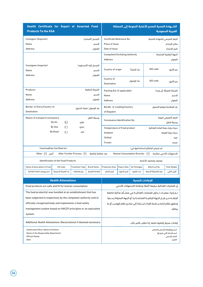| Health Certificate for Export of Assorted Food<br><b>Products To the KSA</b> |                                            |                                                           |                                       |                                               | الشــهادة الصحية لتصدير الأغذية المنوعة إلى المملكة<br>العربية السعودية |                                    |                                                                               |                           |
|------------------------------------------------------------------------------|--------------------------------------------|-----------------------------------------------------------|---------------------------------------|-----------------------------------------------|-------------------------------------------------------------------------|------------------------------------|-------------------------------------------------------------------------------|---------------------------|
| Consignor (Exporter)                                                         |                                            | Certificate Reference No.<br>الرقم المرجعى للشهادة الصحية |                                       |                                               |                                                                         |                                    |                                                                               |                           |
| Name                                                                         | Place of Issue                             |                                                           |                                       |                                               | مكان الإصدار                                                            |                                    |                                                                               |                           |
| <b>Address</b>                                                               |                                            |                                                           | العنوان                               | Date of Issue                                 |                                                                         |                                    |                                                                               | تاريخ الإصدار             |
|                                                                              |                                            |                                                           |                                       | <b>Competent/Certifying Authority</b>         |                                                                         |                                    |                                                                               | الجهة الرقابية المختصة    |
|                                                                              |                                            |                                                           |                                       | <b>Address</b>                                |                                                                         |                                    |                                                                               | العنوان                   |
| Consignee (importer)                                                         |                                            |                                                           | المرسل إليه (المستورد)                |                                               |                                                                         |                                    |                                                                               |                           |
| Name                                                                         |                                            |                                                           | الاسم                                 | Country of origin                             |                                                                         | بلد المنشأ                         | ISO code                                                                      | رمز الأيزو                |
| <b>Address</b>                                                               |                                            |                                                           | العنوان                               |                                               |                                                                         |                                    |                                                                               |                           |
|                                                                              |                                            |                                                           |                                       | Country of                                    |                                                                         |                                    | ISO code                                                                      |                           |
|                                                                              |                                            |                                                           |                                       | <b>Destination</b>                            |                                                                         | بلد الوصول                         |                                                                               | رمز الأيزو                |
| Producer                                                                     |                                            |                                                           | الشركة الصانعة                        | Packing Est. (if applicable)                  |                                                                         |                                    |                                                                               | الشركة المعىأة (ان وحد)   |
| Name                                                                         |                                            |                                                           | الاسم                                 | Name                                          |                                                                         |                                    |                                                                               | الاسم                     |
| <b>Address</b>                                                               |                                            |                                                           | العنوان                               | <b>Address</b>                                |                                                                         |                                    |                                                                               | العنوان                   |
| Border of Entry/Country of                                                   |                                            |                                                           |                                       | Border of Loading/Country                     |                                                                         |                                    |                                                                               | بلد المغادرة/موقع التحميل |
| <b>Destination</b>                                                           |                                            |                                                           | بلد الوصول /منفذ الدخول               | of Dispatch                                   |                                                                         |                                    |                                                                               |                           |
| Means of transport/conveyance                                                |                                            |                                                           |                                       |                                               |                                                                         |                                    |                                                                               | الرقم التعريفي/هوية       |
|                                                                              | By Air<br>П                                | جوي                                                       | وسيلة النقل                           | Conveyance Identification No.                 |                                                                         |                                    |                                                                               | وسيلة النقل               |
|                                                                              | By Sea<br>П                                | بحرى                                                      |                                       |                                               |                                                                         |                                    |                                                                               |                           |
|                                                                              | <b>By Road</b><br>П                        | بري                                                       |                                       | <b>Temperature of Food product</b><br>Ambient |                                                                         |                                    | درجة حرارة حفظ المادة الغذائية                                                | درجة حرارة الغرفة         |
|                                                                              |                                            |                                                           |                                       | Chilled<br>مبرد                               |                                                                         |                                    |                                                                               |                           |
|                                                                              |                                            |                                                           |                                       |                                               | Frozen<br>مجمد                                                          |                                    |                                                                               |                           |
|                                                                              | <b>Commodities Certified for:</b>          |                                                           |                                       |                                               |                                                                         |                                    | تم ترخيص البضائع لاستخدامها في:                                               |                           |
| أخرى<br>Other $\Box$                                                         |                                            | After Further Process [                                   | بعد معالجة إضافية                     |                                               |                                                                         | Human Consumption Directly: $\Box$ |                                                                               | الاستهلاك الآدمى مباشرة:  |
|                                                                              | <b>Identification of the Food Products</b> |                                                           |                                       |                                               |                                                                         |                                    | توصيف وتصنيف الأغذية                                                          |                           |
|                                                                              |                                            |                                                           |                                       |                                               |                                                                         |                                    |                                                                               |                           |
| Name & Description of Food<br>اسم ووصف المادة الغذائية                       | HS-Code                                    | <b>Treatment Type</b><br>نوع المعالجة                     | <b>Brand Name</b><br>العلامة التجارية | <b>Production Date</b><br>تاريخ الإنتاج       | <b>Expiry Date</b>                                                      | No Packages                        | Batch/Lot No.<br>رقم التشغيلة/الدفعة                                          | <b>Total Weight</b>       |
|                                                                              | بند التعرفة الجمركية                       |                                                           |                                       |                                               | تاريخ الانتهاء                                                          | عدد الطرود                         |                                                                               | الوزن الكلى               |
|                                                                              | <b>Health Attestations</b>                 |                                                           |                                       |                                               |                                                                         | الإفادات الصحية                    |                                                                               |                           |
| Food products are safe and fit for human consumption                         |                                            |                                                           |                                       |                                               |                                                                         |                                    | إن المنتجات الغذائية سليمة (آمنة) وصالحة للاستهلاك الآدمى                     |                           |
| The food product(s) was handled at an establishment that has                 |                                            |                                                           |                                       |                                               |                                                                         |                                    | تـم إجراء عمليــات تــداول للمنتجات الغذائيــة في منشــأھ غذائية خاضعة        |                           |
| been subjected to inspections by the competent authority and/or              |                                            |                                                           |                                       |                                               |                                                                         |                                    | للرقابــة مــن قبــل الجهة الرقابيــة المختصــة و/ أو الجهة المخولة رســمياً، |                           |
| officially recognized body and implements a food safety                      |                                            |                                                           |                                       |                                               |                                                                         |                                    | وتطبق نظام إدارة سـلامة الغذاء اسـتناداً إلى مبادئ نظام الهاسب أو ما          |                           |
| management system based on HACCP principles or an equivalent                 |                                            |                                                           |                                       |                                               |                                                                         |                                    |                                                                               | ىماثلە.                   |
| system.                                                                      |                                            |                                                           |                                       |                                               |                                                                         |                                    |                                                                               |                           |
|                                                                              |                                            |                                                           |                                       |                                               |                                                                         |                                    |                                                                               |                           |
| Additional Health Attestations (Declarations) if deemed necessary            |                                            |                                                           |                                       |                                               |                                                                         |                                    | إفادات صحية إضافية خاصة، إذا تطلب الأمر ذلك                                   |                           |
| <b>Authorized officer Name &amp; Position</b>                                |                                            |                                                           |                                       |                                               |                                                                         |                                    |                                                                               | اسم ووظيفة الشخص المختص   |
| Name of the Responsible Department<br><b>Official Stamp</b>                  |                                            |                                                           |                                       | اسم الإدارة التي يتبع لها<br>الختم الرسمى     |                                                                         |                                    |                                                                               |                           |

التاريخ:

Date: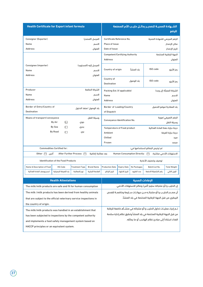| <b>Health Certificate for Export infant formula</b>                | الشــهادة الصحيــة لتصديـر بدائــل حليــب الأم المصنعة<br>للرضع |                                                     |                         |                                       |                                                           |                                    |                                                                     |                                  |  |
|--------------------------------------------------------------------|-----------------------------------------------------------------|-----------------------------------------------------|-------------------------|---------------------------------------|-----------------------------------------------------------|------------------------------------|---------------------------------------------------------------------|----------------------------------|--|
| Consignor (Exporter)                                               |                                                                 |                                                     | المرسل (المصدر)         |                                       | Certificate Reference No.<br>الرقم المرجعى للشهادة الصحية |                                    |                                                                     |                                  |  |
| Name                                                               |                                                                 |                                                     | الاسم                   |                                       | Place of Issue<br>مكان الإصدار                            |                                    |                                                                     |                                  |  |
| <b>Address</b>                                                     |                                                                 |                                                     | العنوان                 | Date of Issue                         |                                                           |                                    |                                                                     | تاريخ الإصدار                    |  |
|                                                                    |                                                                 |                                                     |                         | <b>Competent/Certifying Authority</b> |                                                           |                                    |                                                                     | الجهة الرقابية المختصة           |  |
|                                                                    |                                                                 |                                                     |                         | <b>Address</b>                        |                                                           |                                    |                                                                     | العنوان                          |  |
| Consignee (importer)                                               |                                                                 |                                                     | المرسل إليه (المستورد)  |                                       |                                                           |                                    |                                                                     |                                  |  |
| Name                                                               |                                                                 |                                                     | الاسم                   | Country of origin                     |                                                           | ىلد المنشأ                         | ISO code                                                            | رمز الأيزو                       |  |
| <b>Address</b>                                                     |                                                                 |                                                     | العنوان                 |                                       |                                                           |                                    |                                                                     |                                  |  |
|                                                                    |                                                                 |                                                     |                         | Country of<br><b>Destination</b>      |                                                           | بلد الوصول                         | ISO code                                                            | رمز الأيزو                       |  |
| Producer                                                           |                                                                 |                                                     | الشركة الصانعة          |                                       |                                                           |                                    |                                                                     |                                  |  |
| Name                                                               |                                                                 |                                                     | الاسم                   | Packing Est. (if applicable)<br>Name  |                                                           |                                    |                                                                     | الشركة المعبأة (إن وجد)<br>الاسم |  |
| <b>Address</b>                                                     |                                                                 |                                                     | العنوان                 | <b>Address</b>                        |                                                           |                                    |                                                                     | العنوان                          |  |
|                                                                    |                                                                 |                                                     |                         |                                       |                                                           |                                    |                                                                     |                                  |  |
| Border of Entry/Country of<br><b>Destination</b>                   |                                                                 |                                                     | بلد الوصول /منفذ الدخول | of Dispatch                           | Border of Loading/Country<br>بلد المغادرة/موقع التحميل    |                                    |                                                                     |                                  |  |
| Means of transport/conveyance                                      |                                                                 |                                                     | وسيلة النقل             |                                       |                                                           |                                    |                                                                     | الرقم التعريفي/هوية              |  |
|                                                                    | □<br>By Air                                                     | جوي                                                 |                         |                                       | Conveyance Identification No.<br>وسيلة النقل              |                                    |                                                                     |                                  |  |
|                                                                    | By Sea<br>П                                                     | بحرى                                                |                         | <b>Temperature of Food product</b>    |                                                           |                                    | درجة حرارة حفظ المادة الغذائية                                      |                                  |  |
|                                                                    | <b>By Road</b><br>П                                             | بري                                                 |                         | Ambient                               | درجة حرارة الغرفة                                         |                                    |                                                                     |                                  |  |
|                                                                    |                                                                 |                                                     |                         | Chilled                               | مبرد                                                      |                                    |                                                                     |                                  |  |
|                                                                    |                                                                 |                                                     |                         | Frozen                                |                                                           |                                    |                                                                     | مجمد                             |  |
|                                                                    | <b>Commodities Certified for:</b>                               |                                                     |                         |                                       |                                                           |                                    | تم ترخيص البضائع لاستخدامها في:                                     |                                  |  |
| أخرى<br>Other $\Box$                                               |                                                                 | After Further Process $\Box$                        | بعد معالجة إضافية       |                                       |                                                           | Human Consumption Directly: $\Box$ |                                                                     | الاستهلاك الآدمى مباشرة:         |  |
|                                                                    | <b>Identification of the Food Products</b>                      |                                                     |                         |                                       |                                                           |                                    | توصيف وتصنيف الأغذية                                                |                                  |  |
| Name & Description of Food                                         | <b>HS-Code</b>                                                  | <b>Treatment Type</b>                               | <b>Brand Name</b>       | <b>Production Date</b>                | <b>Expiry Date</b>                                        | No Packages                        | Batch/Lot No.                                                       | <b>Total Weight</b>              |  |
| اسم ووصف المادة الغذائية                                           | بند التعرفة الجمركية                                            | نوع المعالجة                                        | العلامة التجارية        | تاريخ الإنتاج                         | تاريخ الانتهاء                                            | عدد الطرود                         | رقم التشغيلة/الدفعة                                                 | الوزن الكلى                      |  |
|                                                                    | <b>Health Attestations</b>                                      |                                                     |                         | الإفادات الصحية                       |                                                           |                                    |                                                                     |                                  |  |
| The milk/milk products are safe and fit for human consumption      |                                                                 |                                                     |                         |                                       |                                                           |                                    | إن الحليب و/أو منتجاته سليم (آمن) وصالح للاستهلاك الآدمى            |                                  |  |
| The milk /milk products has been derived from healthy animals      |                                                                 |                                                     |                         |                                       |                                                           |                                    | أن مصـدر الحليـب و/أو منتجاتـه مـن حيوانـات سـليمة وخاضعـة للفحص    |                                  |  |
| that are subject to the official veterinary service inspections in |                                                                 |                                                     |                         |                                       |                                                           |                                    | البيطري من قبل الجهة الرقابية المختصة في بلد المنشأ.                |                                  |  |
| the country of origin.                                             |                                                                 |                                                     |                         |                                       |                                                           |                                    |                                                                     |                                  |  |
| The milk/milk products was handled in an establishment that        |                                                                 |                                                     |                         |                                       |                                                           |                                    | تـم إجراء عمليـات تداول الحليب و/أو منتجاته فى منشـأھ خاضعة للرقابة |                                  |  |
| has been subjected to inspections by the competent authority       |                                                                 |                                                     |                         |                                       |                                                           |                                    | من قبل الجهة الرقابية المختصة فى بلد المنشأ وتطبق نظام إدارة سلامة  |                                  |  |
| and implements a food safety management system based on            |                                                                 | الغذاء استناداً إلى مبادئ نظام الهاسب أو ما يماثله. |                         |                                       |                                                           |                                    |                                                                     |                                  |  |

HACCP principles or an equivalent system.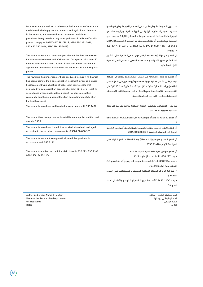| Good veterinary practices have been applied in the use of veterinary                                                                                                                                                                                                                                                                                                                                                                              | تم تطبيق الممارسات البيطرية الجيدة في استخدام الأدوية البيطرية (بما فيها                                                                                                                                                                                                                                                                                                                             |
|---------------------------------------------------------------------------------------------------------------------------------------------------------------------------------------------------------------------------------------------------------------------------------------------------------------------------------------------------------------------------------------------------------------------------------------------------|------------------------------------------------------------------------------------------------------------------------------------------------------------------------------------------------------------------------------------------------------------------------------------------------------------------------------------------------------------------------------------------------------|
| medicines (including growth promoters) and agriculture chemicals                                                                                                                                                                                                                                                                                                                                                                                  | محفــزات النمو) والكيماويات الزراعية فى الحيوانات الحية, وأن أي متبقيات من                                                                                                                                                                                                                                                                                                                           |
| in live animals, and any residues of hormones, antibiotics,                                                                                                                                                                                                                                                                                                                                                                                       | الهرمونـات، المضـادات الحيويــة، المبيــدات، المعــادن الثقيلــة أو غيرهــا مــن                                                                                                                                                                                                                                                                                                                     |
| pesticides, heavy metals or any other pollutants in Milk and/or Milk                                                                                                                                                                                                                                                                                                                                                                              | الملوثات في الحليب و/أو منتجاته متوافقة مع المتطلبات الخليجية SFDA.FD                                                                                                                                                                                                                                                                                                                                |
| product comply with (SFDA.FD 382/2019, SFDA.FD 2481:2019,                                                                                                                                                                                                                                                                                                                                                                                         | 382/2019, SFDA.FD 2481:2019, SFDA.FD GSO 1016, SFDA.FD                                                                                                                                                                                                                                                                                                                                               |
| SFDA.FD GSO 1016, SFDA.FD 193:2019).                                                                                                                                                                                                                                                                                                                                                                                                              | 193:2019                                                                                                                                                                                                                                                                                                                                                                                             |
| The products were in a country or part thereof that has been free of<br>foot-and-mouth disease and of rinderpest for a period of at least 12<br>months prior to the date of this certificate, and where vaccination<br>against foot-and-mouth disease has not been carried out during that<br>period.                                                                                                                                             | ان المنتــج مــن دولة أو منطقــة خالية من مرض الحمى القلاعية خلال 12 شــهر<br>الســابقة من صدور الشــهادة ولم يســتخدم التحصين ضد مرض الحمى القلاعية<br>خلال نفس الفترة.                                                                                                                                                                                                                             |
| The row milk has undergone or been produced from raw milk which<br>has been submitted to a pasteurization treatment involving a single<br>heat treatment with a heating effect at least equivalent to that<br>achieved by a pasteurization process of at least 72°C for at least 15<br>seconds and where applicable, sufficient to ensure a negative<br>reaction to an alkaline phosphatase test applied immediately after<br>the heat treatment. | أن المنتــج قد خضع أو تم إنتاجه مــن الحليب الخام الذي تم تقديمه إلى معالجة<br>البســترة التى تشــمل معالجة حرارية مفردة مع تأثير تســخين على الأقل مكافئ<br>لما تحقق بواسطة عملية بسترة لا تقل عن 72 درجة مئوية لمدة 15 ثانية على<br>الأقـل و عنـد الاقتضـاء ، مـا يكفى لضمـان رد فعل سـلبى لاختبار الفوسـفاتيز<br>القلوية تطبيقها على الفور بعد المعالجة الحرارية.                                 |
| The products have been and handled in accordance with GSO 1694                                                                                                                                                                                                                                                                                                                                                                                    | تـم تداول المنتجـات وفق الطرق الصحية الســلمية بما يتوافق مـع المواصفة<br>القياسية الخليجية 1694 GSO                                                                                                                                                                                                                                                                                                 |
| The product has been produced in establishment apply condition laid                                                                                                                                                                                                                                                                                                                                                                               | أن المنتج تم انتاجه من منشأه متوافقة مع المواصفة القياسية الخليجية GSO                                                                                                                                                                                                                                                                                                                               |
| down in GSO 21                                                                                                                                                                                                                                                                                                                                                                                                                                    | 21                                                                                                                                                                                                                                                                                                                                                                                                   |
| The products have been traded, transported, stored and packaged                                                                                                                                                                                                                                                                                                                                                                                   | أن المنتجـات تــم تداولهـا ونقلهـا وتخزينهـا وتعبئتها وفقـاً للمتطلبـات الفنية                                                                                                                                                                                                                                                                                                                       |
| according to the technical requirements of SFDA.FD GSO 323.                                                                                                                                                                                                                                                                                                                                                                                       | الواردة في المواصفة القياسية .( SFDA.FD GSO 323)                                                                                                                                                                                                                                                                                                                                                     |
| The products were not from genetically modified products in                                                                                                                                                                                                                                                                                                                                                                                       | أن المنتجـات غيــر محوره وراثيــاً (معدلة) وفقــاً للمتطلبات النفيــة الواردة فى                                                                                                                                                                                                                                                                                                                     |
| accordance with GSO 2141.                                                                                                                                                                                                                                                                                                                                                                                                                         | المواصفة القياسية (2141 GSO).                                                                                                                                                                                                                                                                                                                                                                        |
| The product satisfies the conditions laid down in GSO 223, GSO 2106,<br>GSO 2500, SASO 1904                                                                                                                                                                                                                                                                                                                                                       | أن المنتج متوافق مع اللائحة الفنية الخليجية التالية:<br>• رقم (223 GSO" اشتراطات بدائل حليب الأم").<br>• رقـم (2106 GSO"البدائـل المصنعـة لحليـب الأم وصيـغ أغذيـة الرضـع ذات<br>الاستخدامات الطبية الخاصة").<br>• رقـم (2500 GS0"المـواد المضافـة المسـموح باسـتخدامها فـى المـواد<br>الغذائية").<br>• رقــم (1904 SASO "الأغذيــة الحليبيــة التكميليــة للرضــع والأطفــال "غــذاء<br>المتابعة"). |
| <b>Authorized officer Name &amp; Position</b>                                                                                                                                                                                                                                                                                                                                                                                                     | اسم ووظيفة الشخص المختص                                                                                                                                                                                                                                                                                                                                                                              |
| Name of the Responsible Department                                                                                                                                                                                                                                                                                                                                                                                                                | اسم الإدارة التي يتبع لها                                                                                                                                                                                                                                                                                                                                                                            |
| <b>Official Stamp</b>                                                                                                                                                                                                                                                                                                                                                                                                                             | الختم الرسمى                                                                                                                                                                                                                                                                                                                                                                                         |
| Date:                                                                                                                                                                                                                                                                                                                                                                                                                                             | التاريخ:                                                                                                                                                                                                                                                                                                                                                                                             |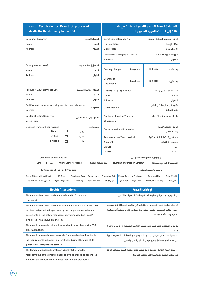| <b>Health Certificate for Export of processed</b>                     | الشــهادة الصحية لتصديــر اللحوم المصنعــة في بلد |                              |                         |                                                              |                    |                               |                                                                               |                           |
|-----------------------------------------------------------------------|---------------------------------------------------|------------------------------|-------------------------|--------------------------------------------------------------|--------------------|-------------------------------|-------------------------------------------------------------------------------|---------------------------|
| Meatin the third country to the KSA                                   |                                                   |                              |                         | ثالث إلى المملكة العربية السعودية                            |                    |                               |                                                                               |                           |
| Consignor (Exporter)                                                  |                                                   |                              | المرسل (المصدر)         | Certificate Reference No.                                    |                    |                               | الرقم المرجعي للشهادة الصحية                                                  |                           |
| Name                                                                  |                                                   |                              | الاسم                   | <b>Place of Issue</b>                                        |                    |                               |                                                                               | مكان الإصدار              |
| <b>Address</b>                                                        |                                                   |                              | العنوان                 | Date of Issue                                                |                    |                               |                                                                               | تاريخ الإصدار             |
|                                                                       |                                                   |                              |                         | <b>Competent/Certifying Authority</b>                        |                    |                               |                                                                               | الجهة الرقابية المختصة    |
|                                                                       |                                                   |                              |                         | <b>Address</b>                                               |                    |                               |                                                                               | العنوان                   |
| Consignee (importer)                                                  |                                                   |                              | المرسل إليه (المستورد)  |                                                              |                    |                               |                                                                               |                           |
| Name                                                                  |                                                   |                              | الاسم                   | Country of origin                                            |                    | ىلد المنشأ                    | ISO code                                                                      | رمز الأيزو                |
| <b>Address</b>                                                        |                                                   |                              | العنوان                 |                                                              |                    |                               |                                                                               |                           |
|                                                                       |                                                   |                              |                         | Country of<br><b>Destination</b>                             |                    | بلد الوصول                    | ISO code                                                                      | رمز الأيزو                |
| Producer/Slaughterhouse Est.                                          |                                                   |                              | الشركة الصانعة/المسلخ   | Packing Est. (if applicable)                                 |                    |                               |                                                                               | الشركة المعبأة (إن وجد)   |
| Name                                                                  |                                                   |                              | الاسم                   | Name                                                         |                    |                               |                                                                               | الاسم                     |
| <b>Address</b>                                                        |                                                   |                              | العنوان                 | <b>Address</b>                                               |                    |                               |                                                                               | العنوان                   |
| Certificate of consignment/ shipment for halal slaughter              |                                                   |                              | مصدرها:                 | Certificate No:                                              |                    |                               | $\mathbf{1}$<br>شهادة الإرسالية للذبح الحلال                                  |                           |
| Source:                                                               |                                                   |                              |                         |                                                              |                    |                               |                                                                               | رقم الشهادة               |
| Border of Entry/Country of                                            |                                                   |                              | بلد الوصول /منفذ الدخول | Border of Loading/Country                                    |                    |                               |                                                                               | بلد المغادرة/موقع التحميل |
| <b>Destination</b>                                                    |                                                   |                              |                         | of Dispatch                                                  |                    |                               |                                                                               |                           |
| Means of transport/conveyance                                         |                                                   |                              | وسيلة النقل             |                                                              |                    |                               | الرقم التعريفي/هوية                                                           |                           |
|                                                                       | By Air<br>П                                       | جوی                          |                         | Conveyance Identification No.<br>وسيلة النقل                 |                    |                               |                                                                               |                           |
|                                                                       | By Sea<br>п                                       | بحرى                         |                         | <b>Temperature of Food product</b>                           |                    |                               | درجة حرارة حفظ المادة الغذائية                                                |                           |
|                                                                       | <b>By Road</b><br>П                               | بری                          |                         | Ambient                                                      |                    |                               |                                                                               | درجة حرارة الغرفة         |
|                                                                       |                                                   |                              |                         | Chilled                                                      |                    |                               |                                                                               | مبرد                      |
|                                                                       |                                                   |                              |                         | Frozen                                                       |                    |                               |                                                                               | مجمد                      |
|                                                                       | <b>Commodities Certified for:</b>                 |                              |                         |                                                              |                    |                               | تم ترخيص البضائع لاستخدامها في:                                               |                           |
| آخری ⊃ Other                                                          |                                                   | After Further Process $\Box$ | بعد معالجة إضافية       |                                                              |                    | Human Consumption Directly: 0 |                                                                               | الاستهلاك الآدمى مباشرة:  |
|                                                                       | <b>Identification of the Food Products</b>        |                              |                         |                                                              |                    |                               | توصيف وتصنيف الأغذية                                                          |                           |
| <b>Name &amp; Description of Food</b>                                 | HS-Code                                           | <b>Treatment Type</b>        | <b>Brand Name</b>       | <b>Production Date</b>                                       | <b>Expiry Date</b> | No Packages                   | Batch/Lot No.                                                                 | <b>Total Weight</b>       |
| اسم ووصف المادة الغذائية                                              | بند التعرفة الجمركية                              | نوع المعالجة                 | العلامة التجارية        | تاريخ الإنتاج                                                | تاريخ الانتهاء     | عدد الطرود                    | رقم التشغيلة/الدفعة                                                           | الوزن الكلى               |
|                                                                       | <b>Health Attestations</b>                        |                              |                         | الإفادات الصحية                                              |                    |                               |                                                                               |                           |
| The meat and/or meat product are safe and fit for human               |                                                   |                              |                         | أن اللحوم و/أو منتجاتها سليمة (آمنة) وصالحة للاستهلاك الآدمى |                    |                               |                                                                               |                           |
| consumption                                                           |                                                   |                              |                         |                                                              |                    |                               |                                                                               |                           |
| The meat and/or meat product was handled at an establishment that     |                                                   |                              |                         |                                                              |                    |                               | تم إجراء عمليات تداول اللحوم و/أو منتجاتها في منشأه خاضعة للرقابة من قبل      |                           |
| has been subjected to inspections by the competent authority and      |                                                   |                              |                         |                                                              |                    |                               | الجهة الرقابية الرسـمية، وتطبق نظام إدارة سـلامة الغذاء اسـتناداً إلى مبادئ   |                           |
| implements a food safety management system based on HACCP             |                                                   |                              |                         |                                                              |                    |                               |                                                                               | نظام الهاسب أو ما يماثله. |
| .principles or an equivalent system                                   |                                                   |                              |                         |                                                              |                    |                               |                                                                               |                           |
| The meat has been stored and transported in accordance with GSO       |                                                   |                              |                         |                                                              |                    |                               | تم تخزين اللحوم ونقلها طبقا للمواصفات القياسية الخليجية .GSO 815 و GSO        |                           |
| .815 and GSO 323                                                      |                                                   |                              |                         |                                                              |                    |                               |                                                                               | 323                       |
| The meat has been obtained separate from meat not conforming to       |                                                   |                              |                         |                                                              |                    |                               | تم إنتاج اللحم بمعزل تام عن أي لحوم لا تتوافق مع المتطلبات المنصوص عليها      |                           |
| the requirements set out in this certificate during all stages of its |                                                   |                              |                         |                                                              |                    |                               | في هذه الشهادة خلال جميع مراحل الإنتاج والنقل والتخزين.                       |                           |
| .production, transport and storage                                    |                                                   |                              |                         |                                                              |                    |                               |                                                                               |                           |
| The Competent Authority shall periodically take samples               |                                                   |                              |                         |                                                              |                    |                               | أن تقوم الجهة الرقابية الرسمية بأخذ عينات دورية ممثلة للإنتاج لتحليلها للتأكد |                           |
| representative of the production for analysis purpose, to assure the  |                                                   |                              |                         |                                                              |                    |                               | من سلامة المنتج ومطابقته للمواصفات القياسية.                                  |                           |
| .safety of the product and its compliance with the standards          |                                                   |                              |                         |                                                              |                    |                               |                                                                               |                           |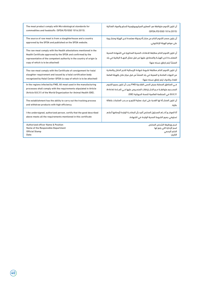| The meat product comply with Microbiological standards for                                                                                                                                                                                     | آن تكون اللحوم متوافقة مع المعايير الميكروبيولوجية للسلع والمواد الغذائية                                                                                                            |
|------------------------------------------------------------------------------------------------------------------------------------------------------------------------------------------------------------------------------------------------|--------------------------------------------------------------------------------------------------------------------------------------------------------------------------------------|
| commodities and foodstuffs (SFDA,FD/GSO 1016:2015).                                                                                                                                                                                            | (SFDA,FD/GSO 1016:2015)                                                                                                                                                              |
| The source of raw meat is from a slaughterhouse and a country                                                                                                                                                                                  | أن يكون مصدر اللحوم الخام من منشــأة ودولة معتمدة لدى الهيئة ومنشــورة                                                                                                               |
| approved by the SFDA and published on the SFDA website.                                                                                                                                                                                        | على موقع الهيئة الإلكتروني.                                                                                                                                                          |
| The raw meat comply with the Health attestations mentioned in the<br>Health Certificate approved by the SFDA and confirmed by the<br>representative of the competent authority in the country of origin (a<br>copy of which is to be attached) | أن تكون اللحوم الخام مطابقة للافادات الصحية المذكورة في الشهادة الصحية<br>المعتمــدة لدى الهيئــة والمصادق عليها من قبل ممثل الجهــة الرقابية في بلد<br>المنشأ (يتم ارفاق نسخه منها) |
| The raw meat comply with the Certificate of consignment for halal                                                                                                                                                                              | أن تكون اللحوم الخام مطابقة لشروط شهادة الإرسالية للذبح الحلال والصادرة                                                                                                              |
| slaughter requirement and issued by a halal certification body                                                                                                                                                                                 | من الجهات المانحة و المعينة في بلد المنشأ من قبل مركز حلال بالهيئة العامة                                                                                                            |
| recognized by Halal Center-SFDA (a copy of which is to be attached)                                                                                                                                                                            | للغذاء والدواء (يتم ارفاق نسخه منها)                                                                                                                                                 |
| In the regions infected by FMD, All meat used in the manufacturing                                                                                                                                                                             | فــى المناطق المصابة بمرض الحمى القلاعية FMD يجب أن تكون جميع اللحوم                                                                                                                 |
| processes shall comply with the requirements stipulated in Article                                                                                                                                                                             | المصدرم متوافقـة مـع الاشـتراطات المنصـوص عليها فـى المـادة (Article                                                                                                                 |
| (Article 8.8.31) of the World Organization for Animal Health (OIE).                                                                                                                                                                            | 8.8.31) في المنظمة العالمية للصحة الحيوانية (OIE).                                                                                                                                   |
| The establishment has the ability to carry out the tracking process                                                                                                                                                                            | أن تكون المنشـأة لها القدرة على احراء عملية التتبع و ســحب المنتحات بكفائة                                                                                                           |
| and withdraw products with high efficiency.                                                                                                                                                                                                    | عالية.                                                                                                                                                                               |
| I the undersigned, authorized person, certify that the good described                                                                                                                                                                          | أنا الموقــع أدنــاھ المسئول المختص أفيد بأن البضاعــة الواردة أوصافها أعلاھ                                                                                                         |
| above meets all the requirements mentioned in this certificate                                                                                                                                                                                 | تستوفي جميع الشروط الصحية الواردة في الشهادة.                                                                                                                                        |
| <b>Authorized officer Name &amp; Position</b>                                                                                                                                                                                                  | اسم ووظيفة الشخص المختص                                                                                                                                                              |
| Name of the Responsible Department                                                                                                                                                                                                             | اسم الإدارة التي يتبع لها                                                                                                                                                            |
| <b>Official Stamp</b>                                                                                                                                                                                                                          | الختم الرسمى                                                                                                                                                                         |
| Date:                                                                                                                                                                                                                                          | التاريخ:                                                                                                                                                                             |